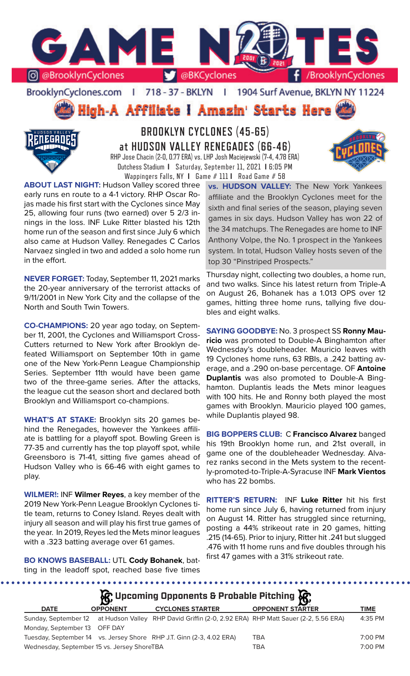

### BrooklynCyclones.com | 718 - 37 - BKLYN | 1904 Surf Avenue, BKLYN NY 11224

High-A Affiliate I Amazin' Starts Here



# **BROOKLYN CYCLONES (45-65) at HUDSON VALLEY RENEGADES (66-46)** RHP Jose Chacin (2-0, 0.77 ERA) vs. LHP Josh Maciejewski (7-4, 4.78 ERA)

Dutchess Stadium **I** Saturday, September 11, 2021 **I** 6:05 PM Wappingers Falls, NY **I** Game # 111 **I** Road Game # 58

**ABOUT LAST NIGHT:** Hudson Valley scored three early runs en route to a 4-1 victory. RHP Oscar Rojas made his first start with the Cyclones since May 25, allowing four runs (two earned) over 5 2/3 innings in the loss. INF Luke Ritter blasted his 12th home run of the season and first since July 6 which also came at Hudson Valley. Renegades C Carlos Narvaez singled in two and added a solo home run in the effort.

**NEVER FORGET:** Today, September 11, 2021 marks the 20-year anniversary of the terrorist attacks of 9/11/2001 in New York City and the collapse of the North and South Twin Towers.

**CO-CHAMPIONS:** 20 year ago today, on September 11, 2001, the Cyclones and Williamsport Cross-Cutters returned to New York after Brooklyn defeated Williamsport on September 10th in game one of the New York-Penn League Championship Series. September 11th would have been game two of the three-game series. After the attacks, the league cut the season short and declared both Brooklyn and Williamsport co-champions.

**WHAT'S AT STAKE:** Brooklyn sits 20 games behind the Renegades, however the Yankees affiliate is battling for a playoff spot. Bowling Green is 77-35 and currently has the top playoff spot, while Greensboro is 71-41, sitting five games ahead of Hudson Valley who is 66-46 with eight games to play.

**WILMER!:** INF **Wilmer Reyes**, a key member of the 2019 New York-Penn League Brooklyn Cyclones title team, returns to Coney Island. Reyes dealt with injury all season and will play his first true games of the year. In 2019, Reyes led the Mets minor leagues with a .323 batting average over 61 games.

**BO KNOWS BASEBALL:** UTL **Cody Bohanek**, batting in the leadoff spot, reached base five times **vs. HUDSON VALLEY:** The New York Yankees affiliate and the Brooklyn Cyclones meet for the sixth and final series of the season, playing seven games in six days. Hudson Valley has won 22 of the 34 matchups. The Renegades are home to INF Anthony Volpe, the No. 1 prospect in the Yankees system. In total, Hudson Valley hosts seven of the top 30 "Pinstriped Prospects."

Thursday night, collecting two doubles, a home run, and two walks. Since his latest return from Triple-A on August 26, Bohanek has a 1.013 OPS over 12 games, hitting three home runs, tallying five doubles and eight walks.

**SAYING GOODBYE:** No. 3 prospect SS **Ronny Mauricio** was promoted to Double-A Binghamton after Wednesday's doubleheader. Mauricio leaves with 19 Cyclones home runs, 63 RBIs, a .242 batting average, and a .290 on-base percentage. OF **Antoine Duplantis** was also promoted to Double-A Binghamton. Duplantis leads the Mets minor leagues with 100 hits. He and Ronny both played the most games with Brooklyn. Mauricio played 100 games, while Duplantis played 98.

**BIG BOPPERS CLUB:** C **Francisco Alvarez** banged his 19th Brooklyn home run, and 21st overall, in game one of the doubleheader Wednesday. Alvarez ranks second in the Mets system to the recently-promoted-to-Triple-A-Syracuse INF **Mark Vientos**  who has 22 bombs.

**RITTER'S RETURN:** INF **Luke Ritter** hit his first home run since July 6, having returned from injury on August 14. Ritter has struggled since returning, posting a 44% strikeout rate in 20 games, hitting .215 (14-65). Prior to injury, Ritter hit .241 but slugged .476 with 11 home runs and five doubles through his first 47 games with a 31% strikeout rate.

**DATE OPPONENT CYCLONES STARTER OPPONENT STARTER TIME** Sunday, September 12 at Hudson Valley RHP David Griffin (2-0, 2.92 ERA) RHP Matt Sauer (2-2, 5.56 ERA) 4:35 PM Monday, September 13 OFF DAY Tuesday, September 14 vs. Jersey Shore RHP J.T. Ginn (2-3, 4.02 ERA) TBA 7:00 PM Wednesday, September 15 vs. Jersey ShoreTBA TBA TBA TBA TCOO PM **Upcoming Opponents & Probable Pitching**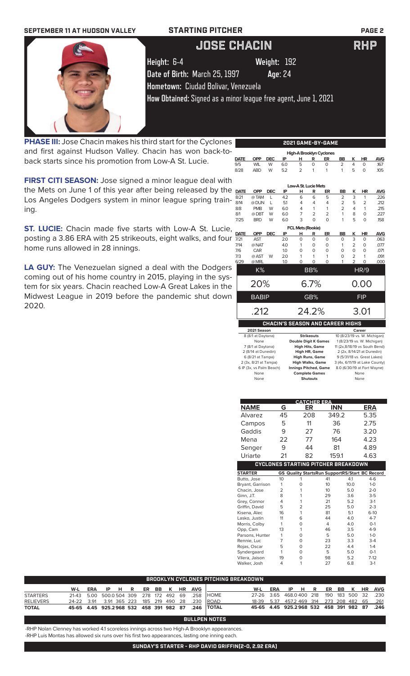

**PHASE III:** Jose Chacin makes his third start for the Cyclones and first against Hudson Valley. Chacin has won back-toback starts since his promotion from Low-A St. Lucie.

**FIRST CITI SEASON:** Jose signed a minor league deal with the Mets on June 1 of this year after being released by the Los Angeles Dodgers system in minor league spring training.

**ST. LUCIE:** Chacin made five starts with Low-A St. Lucie, posting a 3.86 ERA with 25 strikeouts, eight walks, and four home runs allowed in 28 innings.

**LA GUY:** The Venezuelan signed a deal with the Dodgers coming out of his home country in 2015, playing in the system for six years. Chacin reached Low-A Great Lakes in the Midwest League in 2019 before the pandemic shut down 2020.

|             |                    |            |     |                          |                   | High-A Brooklyn Cyclones                |                |                |                              |            |
|-------------|--------------------|------------|-----|--------------------------|-------------------|-----------------------------------------|----------------|----------------|------------------------------|------------|
| <b>DATE</b> | OPP                | <b>DEC</b> | IP  | н                        | R                 | ER                                      | BB             | ĸ              | <b>HR</b>                    | <b>AVG</b> |
| 9/5         | <b>WIL</b>         | W          | 6.0 | 5                        | $\Omega$          | $\circ$                                 | $\overline{2}$ | 4              | $\Omega$                     | .167       |
| 8/28        | <b>ABD</b>         | W          | 5.2 | $\overline{2}$           | 1                 | 1                                       | 1              | 5              | $\Omega$                     | .105       |
|             |                    |            |     |                          |                   |                                         |                |                |                              |            |
|             |                    |            |     | Low-A St. Lucie Mets     |                   |                                         |                |                |                              |            |
| <b>DATE</b> | <b>OPP</b>         | <b>DEC</b> | IP  | н                        | R                 | ER                                      | <b>BB</b>      | ĸ              | <b>HR</b>                    | <b>AVG</b> |
| 8/21        | @TAM               | L          | 4.2 | 6                        | 6                 | 5                                       | $\overline{2}$ | 3              | 1                            | .226       |
| 8/14        | @ DUN              | L          | 5.1 | 4                        | 4                 | $\overline{4}$                          | $\overline{2}$ | 5              | 2                            | .212       |
| 8/8         | <b>PMB</b>         | W          | 6.0 | 4                        | 1                 | 1                                       | $\overline{2}$ | 4              | 1                            | .215       |
| 8/1         | @DBT               | W          | 6.0 | 7                        | $\overline{2}$    | $\overline{2}$                          | 1              | 8              | 0                            | .227       |
| 7/25        | <b>BRD</b>         | W          | 6.0 | 3                        | $\Omega$          | $\Omega$                                | 1              | 5              | 0                            | .158       |
|             |                    |            |     | <b>FCL Mets (Rookie)</b> |                   |                                         |                |                |                              |            |
| <b>DATE</b> | <b>OPP</b>         | <b>DEC</b> | IP  | н                        | R                 | ER                                      | <b>BB</b>      | κ              | <b>HR</b>                    | <b>AVG</b> |
| 7/21        | <b>AST</b>         |            | 2.0 | 0                        | $\Omega$          | $\Omega$                                | O              | 3              | $\Omega$                     | .063       |
| 7/14        | @ NAT              |            | 4.0 | 1                        | $\Omega$          | $\circ$                                 | 1              | $\overline{2}$ | O                            | .077       |
| 7/6         | CAR                |            | 1.0 | 0                        | $\Omega$          | $\Omega$                                | $\Omega$       | $\Omega$       | $\Omega$                     | .071       |
| 7/3         | @ AST              | W          | 2.0 | 1                        | 1                 | 1                                       | O              | $\overline{2}$ | 1                            | .091       |
| 6/29        | @ MRL              |            | 1.0 | $\Omega$                 | $\Omega$          | 0                                       | 1              | $\overline{a}$ | $\Omega$                     | .000       |
|             | K%                 |            |     |                          | BB%               |                                         |                |                | <b>HR/9</b>                  |            |
|             |                    |            |     |                          |                   |                                         |                |                |                              |            |
|             | 20%                |            |     |                          | $6.7\%$           |                                         |                |                | 0.00                         |            |
|             | <b>BABIP</b>       |            |     |                          | GB%               |                                         |                |                | <b>FIP</b>                   |            |
|             | .212               |            |     |                          | 24.2%             |                                         |                |                |                              |            |
|             |                    |            |     |                          |                   |                                         |                |                | 3.01                         |            |
|             |                    |            |     |                          |                   | <b>CHACIN'S SEASON AND CAREER HIGHS</b> |                |                |                              |            |
|             | 2021 Season        |            |     |                          |                   |                                         |                |                | Career                       |            |
|             | 8 (8/1 at Daytona) |            |     |                          | <b>Strikeouts</b> |                                         |                |                | 10 (8/23/19 vs. W. Michigan) |            |

| <b>Strikeouts</b>            | 10 (8/23/19 vs. W. Michigan)   |
|------------------------------|--------------------------------|
| <b>Double Digit K Games</b>  | 1 (8/23/19 vs. W. Michigan)    |
| <b>High Hits, Game</b>       | 11 (2x,8/18/19 vs South Bend)  |
| <b>High HR, Game</b>         | 2 (2x, 8/14/21 at Dunedin)     |
| <b>High Runs, Game</b>       | 9 (5/31/18 vs. Great Lakes)    |
| <b>High Walks, Game</b>      | 3 (4x, 6/11/19 at Lake County) |
| <b>Innings Pitched, Game</b> | 8.0 (6/30/19 at Fort Wayne)    |
| <b>Complete Games</b>        | None                           |
| Shutouts                     | None                           |
|                              |                                |

|                  |                | <b>CATCHER ERA</b>                                    |            |      |            |
|------------------|----------------|-------------------------------------------------------|------------|------|------------|
| <b>NAME</b>      | G              | ER                                                    | <b>INN</b> |      | <b>ERA</b> |
| Alvarez          | 45             | 208                                                   | 349.2      |      | 5.35       |
| Campos           | 5              | 11                                                    | 36         |      | 2.75       |
| Gaddis           | 9              | 27                                                    | 76         |      | 3.20       |
| Mena             | 22             | 77                                                    | 164        |      | 4.23       |
| Senger           | 9              | 44                                                    | 81         |      | 4.89       |
| Uriarte          | 21             | 82                                                    | 159.1      |      | 4.63       |
|                  |                | <b>CYCLONES STARTING PITCHER BREAKDOWN</b>            |            |      |            |
| <b>STARTER</b>   |                | <b>GS Quality StartsRun SupportRS/Start BC Record</b> |            |      |            |
| Butto, Jose      | 10             | 1                                                     | 41         | 4.1  | $4-6$      |
| Bryant, Garrison | 1              | $\Omega$                                              | 10         | 10.0 | $1 - 0$    |
| Chacin, Jose     | $\overline{2}$ | 1                                                     | 10         | 5.0  | $2 - 0$    |
| Ginn, J.T.       | 8              | 1                                                     | 29         | 3.6  | $3-5$      |
| Grey, Connor     | 4              | 1                                                     | 21         | 5.2  | $3-1$      |
| Griffin, David   | 5              | $\overline{2}$                                        | 25         | 5.0  | $2 - 3$    |
| Kisena, Alec     | 16             | 1                                                     | 81         | 5.1  | $6-10$     |
| Lasko, Justin    | 11             | 6                                                     | 44         | 4.0  | $4 - 7$    |
| Morris, Colby    | 1              | 0                                                     | 4          | 4.0  | $O-1$      |
| Opp, Cam         | 13             | 1                                                     | 46         | 3.5  | $4 - 9$    |
| Parsons, Hunter  | 1              | $\Omega$                                              | 5          | 5.0  | $1 - 0$    |
| Rennie, Luc      | 7              | $\Omega$                                              | 23         | 3.3  | $3-4$      |
| Rojas, Oscar     | 5              | $\Omega$                                              | 22         | 4.4  | $1 - 4$    |
| Syndergaard      | 1              | $\Omega$                                              | 5          | 5.0  | $O-1$      |
| Vilera, Jaison   | 19             | 0                                                     | 98         | 5.2  | $7-12$     |
| Walker, Josh     | 4              | 1                                                     | 27         | 6.8  | $3-1$      |

|                  | BROOKLYN CYCLONES PITCHING BREAKDOWN        |     |      |  |  |  |  |  |  |                |                                                   |                                              |                           |  |  |  |  |
|------------------|---------------------------------------------|-----|------|--|--|--|--|--|--|----------------|---------------------------------------------------|----------------------------------------------|---------------------------|--|--|--|--|
|                  | W-L                                         | ERA | IPHR |  |  |  |  |  |  | ER BB K HR AVG |                                                   | W-L                                          | ERA IP H R ER BB K HR AVG |  |  |  |  |
| <b>STARTERS</b>  |                                             |     |      |  |  |  |  |  |  |                | 21-43 5.00 500.0504 309 278 172 492 69 .258 HOME  | 27-26 3.65 468.0400 218 190 183 500 32 .230  |                           |  |  |  |  |
| <b>RELIEVERS</b> | 24-22 3.91 3.91 365 223 185 219 490 28 .230 |     |      |  |  |  |  |  |  |                | <b>IROAD</b>                                      | 18-39 5.37 457.2 469 314 273 208 482 65 .261 |                           |  |  |  |  |
| <b>TOTAL</b>     |                                             |     |      |  |  |  |  |  |  |                | 45-65 4.45 925.2968 532 458 391 982 87 .246 TOTAL | 45-65 4.45 925.2968 532 458 391 982 87 .246  |                           |  |  |  |  |

**BULLPEN NOTES**

-RHP Nolan Clenney has worked 4.1 scoreless innings across two High-A Brooklyn appearances. -RHP Luis Montas has allowed six runs over his first two appearances, lasting one inning each.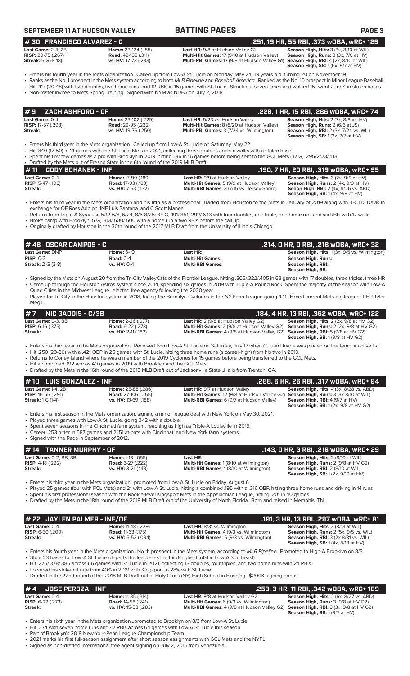| SEPTEMBER 11 AT HUDSON VALLEY |  |  |
|-------------------------------|--|--|
|-------------------------------|--|--|

### **SEPTEMBER 11 AT TIME PAGES PAGE 3**

**# 30 FRANCISCO ALVAREZ - C .251, 19 HR, 55 RBI, .373 wOBA, wRC+ 129**

| Last Game: $2-4.2B$       | Home: 23-124 (.185)         | <b>Last HR:</b> 9/8 at Hudson Valley G1                                                           | <b>Season High, Hits: 3 (3x, 8/10 at WIL</b>           |
|---------------------------|-----------------------------|---------------------------------------------------------------------------------------------------|--------------------------------------------------------|
| <b>RISP:</b> 20-75 (.267) | <b>Road:</b> 42-135 (.311)  | <b>Multi-Hit Games: 17 (9/10 at Hudson Valley)</b>                                                | <b>Season High, Runs:</b> $3$ ( $3x$ , $7/6$ at $HV$ ) |
| <b>Streak:</b> 5 G (8-18) | <b>vs. HV:</b> 17-73 (.233) | <b>Multi-RBI Games:</b> 17 (9/8 at Hudson Valley G1) <b>Season High, RBI:</b> 4 (2x, 8/10 at WIL) |                                                        |

**Multi-RBI Games:** 17 (9/8 at Hudson Valley G1)

**Season High, RBI:** 4 (2x, 8/10 at WIL)<br>**Season High, SB:** 1 (6x, 9/7 at HV)

• Enters his fourth year in the Mets organization...Called up from Low-A St. Lucie on Monday, May 24...19 years old, turning 20 on November 19 • Ranks as the No. 1 prospect in the Mets system according to both *MLB Pipeline* and *Baseball America*...Ranked as the No. 10 prospect in Minor League Baseball. • Hit .417 (20-48) with five doubles, two home runs, and 12 RBIs in 15 games with St. Lucie...Struck out seven times and walked 15...went 2-for-4 in stolen bases

• Non-roster invitee to Mets Spring Training...Signed with NYM as NDFA on July 2, 2018

| I#9<br>ZACH ASHFORD - OF                               |                                                                          |                                                                                                                                         | .228, 1 HR, 15 RBI, .286 wOBA, wRC+ 74                                                                                                                                         |
|--------------------------------------------------------|--------------------------------------------------------------------------|-----------------------------------------------------------------------------------------------------------------------------------------|--------------------------------------------------------------------------------------------------------------------------------------------------------------------------------|
| Last Game: 0-4<br><b>RISP:</b> 17-57 (.298)<br>Streak: | Home: 23-102 (.225)<br><b>Road:</b> 22-95 (.232)<br>vs. HV: 19-76 (.250) | Last HR: 5/23 vs. Hudson Valley<br><b>Multi-Hit Games:</b> 8 (8/20 at Hudson Valley)<br><b>Multi-RBI Games: 3 (7/24 vs. Wilmington)</b> | Season High, Hits: 2 (7x, 8/8 vs. HV)<br><b>Season High, Runs: 2 (6/6 at JS)</b><br><b>Season High, RBI:</b> 2 (3x, 7/24 vs. WIL)<br><b>Season High, SB: 1 (3x, 7/7 at HV)</b> |

• Enters his third year in the Mets organization...Called up from Low-A St. Lucie on Saturday, May 22

• Hit .340 (17-50) in 14 games with the St. Lucie Mets in 2021, collecting three doubles and six walks with a stolen base

• Spent his first few games as a pro with Brooklyn in 2019, hitting .136 in 16 games before being sent to the GCL Mets (37 G, .295/2/23/.413) • Drafted by the Mets out of Fresno State in the 6th round of the 2019 MLB Draft

|                          | $# 11$ CODY BOHANEK - INF |                            |                                                   | .190, 7 HR, 20 RBI, .319 wOBA, wRC+ 95          |
|--------------------------|---------------------------|----------------------------|---------------------------------------------------|-------------------------------------------------|
| <b>Last Game: 0-4</b>    |                           | Home: 17-90 (.189)         | <b>Last HR: 9/9 at Hudson Valley</b>              | <b>Season High, Hits:</b> $3(2x, 9/9$ at $HV$ ) |
| <b>RISP:</b> 5-47 (.106) |                           | <b>Road:</b> 17-93 (.183)  | <b>Multi-Hit Games:</b> 5 (9/9 at Hudson Valley)  | <b>Season High, Runs:</b> $2$ (4x, $9/9$ at HV) |
| Streak:                  |                           | <b>vs. HV:</b> 7-53 (.132) | <b>Multi-RBI Games:</b> 3 (7/15 vs. Jersey Shore) | <b>Seaon High, RBI:</b> 2 (4x, 8/26 vs. ABD)    |
|                          |                           |                            |                                                   | <b>Season High, SB:</b> $1(4x, 9/9$ at $HV$ )   |

• Enters his third year in the Mets organization and his fifth as a professional...Traded from Houston to the Mets in January of 2019 along with 3B J.D. Davis in exchange for OF Ross Adolph, INF Luis Santana, and C Scott Manea

• Returns from Triple-A Syracuse 5/12-6/8, 6/24, 8/6-8/25: 34 G, .191/.351/.292/.643 with four doubles, one triple, one home run, and six RBIs with 17 walks • Broke camp with Brooklyn: 5 G, .313/.500/.500 with a home run a two RBIs before the call up

• Originally drafted by Houston in the 30th round of the 2017 MLB Draft from the University of Illinois-Chicago

| $#$ 48 OSCAR CAMPOS - C             |                   |                         | .214, 0 HR, 0 RBI, .218 w0BA, wRC+ 32                                                                                                                        |
|-------------------------------------|-------------------|-------------------------|--------------------------------------------------------------------------------------------------------------------------------------------------------------|
| <b>Last Game: DNP</b>               | <b>Home: 3-10</b> | Last HR:                | <b>Season High, Hits:</b> 1 (3x, 9/5 vs. Wilmington)                                                                                                         |
| $RISP: 0-3$                         | Road: $0-4$       | <b>Multi-Hit Games:</b> | Season High, Runs:                                                                                                                                           |
| <b>Streak:</b> $2 \text{ } G$ (3-8) | vs. HV: 0-4       | <b>Multi-RBI Games:</b> | Season High, RBI:<br>Season High, SB:                                                                                                                        |
|                                     |                   |                         | . Signed by the Mets on August 20 from the Tri-City ValleyCats of the Frontier League bitting 305/322/405 in 63 games with 17 doubles three triples three HR |

• Signed by the Mets on August 20 from the Tri-City ValleyCats of the Frontier League, hitting .305/.322/.405 in 63 games with 17 doubles, three triples, three HR • Came up through the Houston Astros system since 2014, spending six games in 2019 with Triple-A Round Rock. Spent the majority of the season with Low-A Quad Cities in the Midwest League...elected free agency following the 2020 year.

• Played for Tri-City in the Houston system in 2018, facing the Brooklyn Cyclones in the NY-Penn League going 4-11...Faced current Mets big leaguer RHP Tylor Megill.

| $#7$ NIC GADDIS - C/3B     |                          |                                                                                                    | .184. 4 HR. 13 RBI. .362 WOBA. wRC+ 122                     |
|----------------------------|--------------------------|----------------------------------------------------------------------------------------------------|-------------------------------------------------------------|
| Last Game: 0-3. BB         | <b>Home: 2-26 (.077)</b> | <b>Last HR:</b> $2(9/8$ at Hudson Valley G2)                                                       | <b>Season High, Hits:</b> $2$ ( $2x$ , $9/8$ at $HV$ $G2$ ) |
| <b>RISP:</b> $6-16$ (.375) | <b>Road: 6-22 (.273)</b> | <b>Multi-Hit Games:</b> 2 (9/8 at Hudson Valley G2) <b>Season High, Runs:</b> 2 (2x, 9/8 at HV G2) |                                                             |
| Streak:                    | vs. HV: 2-11 (.182)      | <b>Multi-RBI Games:</b> 4 (9/8 at Hudson Valley G2) <b>Season High, RBI:</b> 5 (9/8 at HV G2)      | <b>Season High, SB: 1 (9/8 at HV G2)</b>                    |
|                            |                          |                                                                                                    |                                                             |

• Enters his third year in the Mets organization...Received from Low-A St. Lucie on Saturday, July 17 when C Juan Uriarte was placed on the temp. inactive list

- Hit .250 (20-80) with a .421 OBP in 25 games with St. Lucie, hitting three home runs (a career-high) from his two in 2019.
- Returns to Coney Island where he was a member of the 2019 Cyclones for 15 games before being transferred to the GCL Mets. • Hit a combined .192 across 40 games in 2019 with Brooklyn and the GCL Mets
- Drafted by the Mets in the 16th round of the 2019 MLB Draft out of Jacksonville State...Hails from Trenton, GA.

| $# 10$ LUIS GONZALEZ - INF                                             |                            |                                                                                                                | .268, 6 HR, 26 RBI, .317 wOBA, wRC+ 94'        |
|------------------------------------------------------------------------|----------------------------|----------------------------------------------------------------------------------------------------------------|------------------------------------------------|
| <b>Last Game: 1-4, 2B</b>                                              | Home: 25-88 (.286)         | <b>Last HR: 9/7 at Hudson Valley</b>                                                                           | <b>Season High, Hits: 4 (3x, 8/28 vs. ABD)</b> |
| <b>RISP:</b> $16-55$ (.291)                                            | <b>Road: 27-106 (.255)</b> | <b>Multi-Hit Games:</b> 12 (9/8 at Hudson Valley G2) <b>Season High, Runs:</b> 3 (3x 8/10 at WIL)              |                                                |
| <b>Streak:</b> 1 G (1-4)                                               | vs. HV: 13-69 (.188)       | <b>Multi-RBI Games:</b> 6 (9/7 at Hudson Valley)                                                               | <b>Season High, RBI:</b> $4(9/7$ at $HV$ )     |
|                                                                        |                            |                                                                                                                | <b>Season High, SB:</b> 1(2x, 9/8 at HV G2)    |
| $\sim$ Dlayed three games with Low A St Lucie going 3.12 with a double |                            | • Enters his first season in the Mets organization, signing a minor league deal with New York on May 30, 2021. |                                                |

• Played three games with Low-A St. Lucie, going 3-12 with a double.

• Spent seven seasons in the Cincinnati farm system, reaching as high as Triple-A Louisville in 2019.

• Career .253 hitter in 587 games and 2,151 at-bats with Cincinnati and New York farm systems.

• Signed with the Reds in September of 2012.

**Last Game:** 0-2, BB, SB **Home:** 1-18 (.055) **Last HR: <br><b>RISP:** 4-18 (.222) **Road:** 6-27 (.222) **Home: 1 (8/10 at Wilmington) Season High, Runs: 2 (9/8 at HV ( RISP:** 4-18 (.222) **Road:** 6-27 (.222) **Multi-Hit Games:** 1 (8/10 at Wilmington) **Season High, Runs:** 2 (9/8 at HV G2) **Multi-RBI Games:** 1 (8/10 at Wilmington) **Season High, RBI:** 2 (3/3 at HV C<br>**Season High, RBI:** 2 (8/10 at WIL)<br>**Season High, SB:** 1 (2x, 9/10 at HV) **# 14 TANNER MURPHY - OF .143, 0 HR, 3 RBI, .216 wOBA, wRC+ 29**

• Enters his third year in the Mets organization...promoted from Low-A St. Lucie on Friday, August 6

• Played 25 games (four with FCL Mets) and 21 with Low-A St. Lucie, hitting a combined .195 with a .316 OBP, hitting three home runs and driving in 14 runs

• Spent his first professional season with the Rookie-level Kingsport Mets in the Appalachian League, hitting. 201 in 40 games

• Drafted by the Mets in the 18th round of the 2019 MLB Draft out of the University of North Florida...Born and raised in Memphis, TN.

| # 22 JAYLEN PALMER - INF/OF |                            |                                                | .191, 3 HR, 13 RBI, .297 wOBA, wRC+ 81              |
|-----------------------------|----------------------------|------------------------------------------------|-----------------------------------------------------|
| <b>Last Game: 0-4</b>       | <b>Home:</b> 11-48 (.229)  | <b>Last HR:</b> 8/31 vs. Wilmington            | <b>Season High, Hits: 3 (8/13 at WIL)</b>           |
| <b>RISP:</b> $6-30$ (.200)  | <b>Road: 11-63 (.175)</b>  | <b>Multi-Hit Games:</b> 4 (9/3 vs. Wilmington) | <b>Season High, Runs: 2 (5x, 9/5 vs. WIL)</b>       |
| Streak:                     | <b>vs. HV:</b> 5-53 (.094) | <b>Multi-RBI Games:</b> 5 (9/3 vs. Wilmington) | <b>Season High, RBI:</b> $3$ ( $2x$ $8/31$ vs. WIL) |
|                             |                            |                                                | <b>Season High, SB:</b> 1(4x, 8/18 at HV)           |

• Enters his fourth year in the Mets organization...No. 11 prospect in the Mets system, according to *MLB Pipeline*...Promoted to High-A Brooklyn on 8/3.

• Stole 23 bases for Low-A St. Lucie (departs the league as the third-highest total in Low-A Southeast). • Hit .276/.378/.386 across 66 games with St. Lucie in 2021, collecting 13 doubles, four triples, and two home runs with 24 RBIs.

Lowered his strikeout rate from 40% in 2019 with Kingsport to 28% with St. Lucie.

• Drafted in the 22nd round of the 2018 MLB Draft out of Holy Cross (NY) High School in Flushing...\$200K signing bonus

# **# 4 JOSE PEROZA - INF**<br> **Last HR:** 9/8 at Hudson Valley G2 **.253, 3 HR, 11 RBI, .342 wOBA, wRC+ 109**<br> **RISP:** 6-22 (.273) **Rise 2 (6x, 8/27 vs. ABD) Rise 8/27 vs. ABD RISP: 6-22** (.273) **Rise 8/27 was at HV G2 Last Game:** 0-4 **Home:** 11-35 (.314) **Last HR:** 9/8 at Hudson Valley G2 **Season High, Hits:** 2 (6x, 8/27 vs. ABD)

**RISP:** 6-22 (.273) **Road:** 14-58 (.241) **Multi-Hit Games:** 6 (9/3 vs. Wilmington) **Season High, Runs:** 3 (9/8 at HV G2) **Streak: vs. HV:** 15-53 (.283) **Multi-RBI Games:** 4 (9/8 at Hudson Valley G2) **Season High, RBI:** 3 (3x, 9/8 at HV G2)

**Season High, SB:** 1 (9/7 at HV)

Enters his sixth year in the Mets organization...promoted to Brooklyn on 8/3 from Low-A St. Lucie.

• Hit .274 with seven home runs and 47 RBIs across 64 games with Low-A St. Lucie this season.

• Part of Brooklyn's 2019 New York-Penn League Championship Team.

• 2021 marks his first full-season assignment after short season assignments with GCL Mets and the NYPL.

• Signed as non-drafted international free agent signing on July 2, 2016 from Venezuela.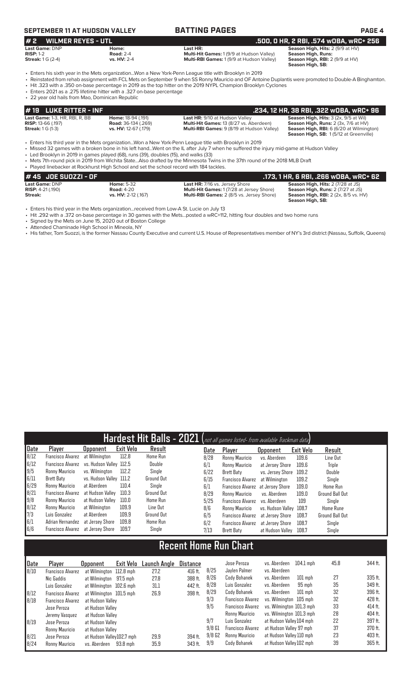# **SEPTEMBER 11 AT HUDSON VALLEY BATTING PAGES PAGE 4**

### **# 2 WILMER REYES - UTL .500, 0 HR, 2 RBI, .574 wOBA, wRC+ 256 Last Game:** DNP **Home: Last HR: Season High, Hits:** 2 (9/9 at HV) **RISP: RISP: RISP: RISP: RISP: RISP: RISP: RISP: Property RISP: RISP: Property Streak:** 1 G (2-4) **Streak:** 1 G (2-4) **Streak:** 1 G (2-4) **Property CONSIMILY: Property CONSIMILY: Property**

**Multi-RBI Games:** 1 (9/9 at Hudson Valley)

Season High, RBI: 2 (9/9 at HV)<br>Season High, SB:

• Enters his sixth year in the Mets organization...Won a New York-Penn League title with Brooklyn in 2019

- Reinstated from rehab assignment with FCL Mets on September 9 when SS Ronny Mauricio and OF Antoine Duplantis were promoted to Double-A Binghamton.
- Hit .323 with a .350 on-base percentage in 2019 as the top hitter on the 2019 NYPL Champion Brooklyn Cyclones
- Enters 2021 as a .275 lifetime hitter with a .327 on-base percentage • 22 year old hails from Mao, Dominican Republic

| $\#$ 19 LUKE RITTER - INF             |                             |                                                   | .234, 12 HR, 38 RBI, .322 WOBA, WRC+ 96                |
|---------------------------------------|-----------------------------|---------------------------------------------------|--------------------------------------------------------|
| <b>Last Game: 1-3, HR, RBI, R, BB</b> | Home: 18-94 (.191)          | <b>Last HR: 9/10 at Hudson Valley</b>             | <b>Season High, Hits: 3 (2x, 9/5 at Wil)</b>           |
| <b>RISP:</b> 13-66 (.197)             | <b>Road:</b> 36-134 (.269)  | <b>Multi-Hit Games: 13 (8/27 vs. Aberdeen)</b>    | <b>Season High, Runs:</b> $2$ ( $3x$ , $7/6$ at $HV$ ) |
| <b>Streak:</b> 1 G (1-3)              | <b>vs. HV:</b> 12-67 (.179) | <b>Multi-RBI Games: 9 (8/19 at Hudson Valley)</b> | <b>Season High, RBI:</b> 6 (6/20 at Wilmington)        |
|                                       |                             |                                                   | <b>Season High, SB: 1(5/12 at Greenville)</b>          |

• Enters his third year in the Mets organization...Won a New York-Penn League title with Brooklyn in 2019<br>• Missed 32 games with a broken bone in his left hand...Went on the IL after July 7 when he suffered the

• Missed 32 games with a broken bone in his left hand...Went on the IL after July 7 when he suffered the injury mid-game at Hudson Valley

- Led Brooklyn in 2019 in games played (68), runs (39), doubles (15), and walks (33)
- Mets 7th-round pick in 2019 from Wichita State...Also drafted by the Minnesota Twins in the 37th round of the 2018 MLB Draft • Played linebacker at Rockhurst High School and set the school record with 184 tackles.

| # 45 JOE SUOZZI - OF       |                     |                                                  | .173, 1 HR, 6 RBI, .266 wOBA, wRC+ 62       |
|----------------------------|---------------------|--------------------------------------------------|---------------------------------------------|
| Last Game: DNP             | <b>Home: 5-32</b>   | <b>Last HR: 7/16 vs. Jersey Shore</b>            | <b>Season High, Hits: 2 (7/28 at JS)</b>    |
| <b>RISP:</b> $4-21$ (.190) | <b>Road: 4-20</b>   | <b>Multi-Hit Games: 1(7/28 at Jersey Shore)</b>  | <b>Season High, Runs: 2 (7/27 at JS)</b>    |
| Streak:                    | vs. HV: 2-12 (.167) | <b>Multi-RBI Games: 2 (8/5 vs. Jersey Shore)</b> | <b>Season High, RBI:</b> 2 (2x, 8/5 vs. HV) |
|                            |                     |                                                  | Season High, SB:                            |

• Enters his third year in the Mets organization...received from Low-A St. Lucie on July 13

• Hit .292 with a .372 on-base percentage in 30 games with the Mets...posted a wRC+112, hitting four doubles and two home runs

• Signed by the Mets on June 15, 2020 out of Boston College

- Attended Chaminade High School in Mineola, NY
- His father, Tom Suozzi, is the former Nassau County Executive and current U.S. House of Representatives member of NY's 3rd district (Nassau, Suffolk, Queens)

|      | Hardest Hit Balls - 2021 (not all games listed- from available Trackman data) |                          |                  |                   |  |      |                                   |                         |           |                  |  |
|------|-------------------------------------------------------------------------------|--------------------------|------------------|-------------------|--|------|-----------------------------------|-------------------------|-----------|------------------|--|
| Date | Player                                                                        | <b>Opponent</b>          | <b>Exit Velo</b> | Result            |  | Date | Player                            | <b>Opponent</b>         | Exit Velo | Result           |  |
| 8/12 | <b>Francisco Alvarez</b>                                                      | at Wilmington            | 112.8            | Home Run          |  | 8/28 | Ronny Mauricio                    | vs. Aberdeen            | 109.6     | Line Out         |  |
| 6/12 | Francisco Alvarez                                                             | vs. Hudson Vallev  112.5 |                  | Double            |  | 6/1  | Ronny Mauricio                    | at Jersey Shore         | 109.6     | Triple           |  |
| 9/5  | Ronny Mauricio                                                                | vs. Wilminaton           | 112.2            | Single            |  | 6/22 | Brett Baty                        | vs. Jersey Shore 109.2  |           | Double           |  |
| 6/11 | Brett Baty                                                                    | vs. Hudson Valley 111.2  |                  | Ground Out        |  | 6/15 | <b>Francisco Alvarez</b>          | at Wilmington           | 109.2     | Single           |  |
| 6/29 | Ronny Mauricio                                                                | at Aberdeen              | 110.4            | Single            |  | 6/1  | Francisco Alvarez at Jersey Shore |                         | 109.0     | <b>Home Run</b>  |  |
| 8/21 | Francisco Alvarez                                                             | at Hudson Vallev         | 110.3            | <b>Ground Out</b> |  | 8/29 | Ronny Mauricio                    | vs. Aberdeen            | 109.0     | Ground Ball Out  |  |
| 9/8  | Ronny Mauricio                                                                | at Hudson Valley         | 110.0            | Home Run          |  | 5/25 | Francisco Alvarez                 | vs. Aberdeen            | 109       | Single           |  |
| 8/12 | Ronny Mauricio                                                                | at Wilmington            | 109.9            | Line Out          |  | 8/6  | Ronny Mauricio                    | vs. Hudson Valley 108.7 |           | <b>Home Rune</b> |  |
| 7/3  | Luis Gonzalez                                                                 | at Aberdeen              | 109.9            | Ground Out        |  | 6/5  | <b>Francisco Alvarez</b>          | at Jersey Shore         | 108.7     | Ground Ball Out  |  |
| 6/1  | Adrian Hernandez at Jersey Shore                                              |                          | 109.8            | Home Run          |  | 6/2  | Francisco Alvarez                 | at Jersey Shore         | 108.7     | Single           |  |
| 6/6  | Francisco Alvarez at Jersey Shore                                             |                          | 109.7            | Single            |  | 7/13 | <b>Brett Baty</b>                 | at Hudson Valley        | 108.7     | Single           |  |

# **Recent Home Run Chart**

| Date | Player                   | <b>Opponent</b>           | Exit Velo | Launch Angle | <b>Distance</b> |          | Jose Peroza              | vs. Aberdeen             | $104.1$ mph | 45.8 | 344 ft.   |
|------|--------------------------|---------------------------|-----------|--------------|-----------------|----------|--------------------------|--------------------------|-------------|------|-----------|
| 8/10 | <b>Francisco Alvarez</b> | at Wilmington 112.8 mph   |           | 27.2         | 416 ft.         | 8/25     | Javlen Palmer            | vs. Aberdeen             |             |      |           |
|      | Nic Gaddis               | at Wilmington             | 97.5 mph  | 27.8         | 388 ft.         | 8/26     | Cody Bohanek             | vs. Aberdeen             | $101$ mph   | 27   | $335$ ft. |
|      | Luis Gonzalez            | at Wilmington 102.6 mph   |           | 31.1         | 442 ft.         | 8/28     | Luis Gonzalez            | vs. Aberdeen             | 95 mph      | 35   | 349 ft.   |
| 8/12 | Francisco Alvarez        | at Wilmington 101.5 mph   |           | 26.9         | 398 ft.         | 8/29     | Cody Bohanek             | vs. Aberdeen             | $101$ mph   | 32   | 396 ft.   |
| 8/18 | <b>Francisco Alvarez</b> | at Hudson Valley          |           |              |                 | 9/3      | <b>Francisco Alvarez</b> | vs. Wilmington 105 mph   |             | 32   | 428 ft.   |
|      | Jose Peroza              | at Hudson Vallev          |           |              |                 | 9/5      | <b>Francisco Alvarez</b> | vs. Wilmington 101.3 mph |             | 33   | 414 ft.   |
|      | Jeremy Vasquez           | at Hudson Valley          |           |              |                 |          | Ronny Mauricio           | vs. Wilmington 101.3 mph |             | 28   | 404 ft.   |
| 8/19 | Jose Peroza              | at Hudson Valley          |           |              |                 | 9/7      | Luis Gonzalez            | at Hudson Vallev 104 mph |             | 22   | 397 ft.   |
|      | Ronny Mauricio           | at Hudson Valley          |           |              |                 | $9/8$ G1 | <b>Francisco Alvarez</b> | at Hudson Valley 97 mph  |             | 37   | 370 ft.   |
| 8/21 | Jose Peroza              | at Hudson Valley102.7 mph |           | 29.9         | 394 ft.         | 9/8G2    | Ronny Mauricio           | at Hudson Valley 110 mph |             | 23   | 403 ft.   |
| 8/24 | Ronny Mauricio           | vs. Aberdeen              | 93.8 mph  | 35.9         | 343 ft.         | 9/9      | Cody Bohanek             | at Hudson Valley 102 mph |             | 39   | 365 ft.   |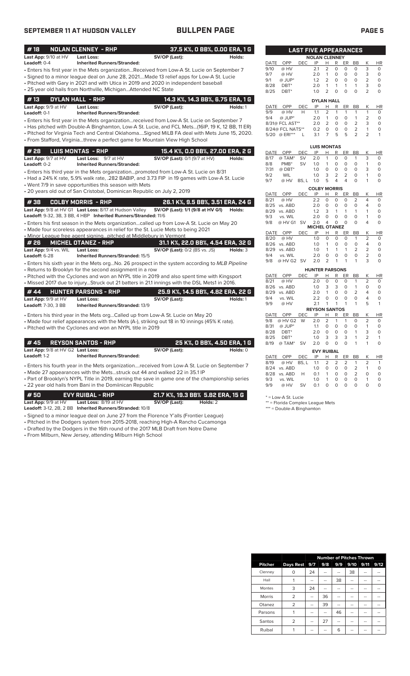## **SEPTEMBER 11 AT HUDSON VALLEY BULLPEN PAGE PAGE 5**

| #18                                               | <b>NOLAN CLENNEY - RHP</b>                                                                                                        |                                                                                                                                                                                | 37.5 K%, O BB%, O.OO ERA, 1 G     |
|---------------------------------------------------|-----------------------------------------------------------------------------------------------------------------------------------|--------------------------------------------------------------------------------------------------------------------------------------------------------------------------------|-----------------------------------|
| Last App: 9/10 at HV<br>Leadoff: 0-4              | <b>Last Loss:</b><br><b>Inherited Runners/Stranded:</b>                                                                           | SV/OP (Last):                                                                                                                                                                  | Holds:                            |
|                                                   |                                                                                                                                   | • Enters his first year in the Mets organizationReceived from Low-A St. Lucie on September 7                                                                                   |                                   |
|                                                   |                                                                                                                                   | • Signed to a minor league deal on June 28, 2021Made 13 relief apps for Low-A St. Lucie                                                                                        |                                   |
|                                                   |                                                                                                                                   | • Pitched with Gary in 2021 and with Utica in 2019 and 2020 in independent baseball                                                                                            |                                   |
|                                                   | • 25 year old hails from Northville, MichiganAttended NC State                                                                    |                                                                                                                                                                                |                                   |
| #13                                               | <b>DYLAN HALL - RHP</b>                                                                                                           |                                                                                                                                                                                | 14.3 K%, 14.3 BB%, 6.75 ERA, 1 G  |
| Last App: 9/9 at HV                               | Last Loss:                                                                                                                        | SV/OP (Last):                                                                                                                                                                  | Holds: 1                          |
| Leadoff: 0-1                                      | <b>Inherited Runners/Stranded:</b>                                                                                                | • Enters his first year in the Mets organizationreceived from Low-A St. Lucie on September 7                                                                                   |                                   |
|                                                   |                                                                                                                                   | • Has pitched with Double-A Binghamton, Low-A St. Lucie, and FCL Mets(16IP, 19 K, 12 BB, 11 ER)                                                                                |                                   |
|                                                   |                                                                                                                                   | . Pitched for Virginia Tech and Central Oklahoma Signed MiLB FA deal with Mets June 15, 2020.                                                                                  |                                   |
|                                                   |                                                                                                                                   | • From Stafford, Virginiathrew a perfect game for Mountain View High School                                                                                                    |                                   |
| #28                                               | <b>LUIS MONTAS - RHP</b>                                                                                                          |                                                                                                                                                                                | 15.4 K%, O.O BB%, 27.00 ERA, 2 G  |
| Last App: 9/7 at HV                               | Last Loss: 9/7 at HV                                                                                                              | SV/OP (Last): 0/1 (9/7 at HV)                                                                                                                                                  | Holds:                            |
| Leadoff: 0-2                                      | <b>Inherited Runners/Stranded:</b>                                                                                                |                                                                                                                                                                                |                                   |
|                                                   |                                                                                                                                   | • Enters his third year in the Mets organizationpromoted from Low-A St. Lucie on 8/31                                                                                          |                                   |
|                                                   |                                                                                                                                   | • Had a 24% K rate, 5.9% walk rate, .282 BABIP, and 3.73 FIP in 19 games with Low-A St. Lucie                                                                                  |                                   |
|                                                   | • Went 7/9 in save opportunities this season with Mets<br>• 20 years old out of San Cristobal, Dominican Republic on July 2, 2019 |                                                                                                                                                                                |                                   |
|                                                   |                                                                                                                                   |                                                                                                                                                                                |                                   |
| #38                                               | <b>COLBY MORRIS - RHP</b>                                                                                                         |                                                                                                                                                                                | 26.1 K%, 9.5 BB%, 3.51 ERA, 24 G  |
|                                                   | Last App: 9/8 at HV G1 Last Loss: 8/17 at Hudson Valley                                                                           | SV/OP (Last): 1/1 (9/8 at HV G1)                                                                                                                                               | Holds:                            |
|                                                   | Leadoff: 9-32, 3B, 3 BB, 4 HBP Inherited Runners/Stranded: 11/6                                                                   |                                                                                                                                                                                |                                   |
|                                                   |                                                                                                                                   | • Enters his first season in the Mets organizationcalled up from Low-A St. Lucie on May 20<br>• Made four scoreless appearances in relief for the St. Lucie Mets to being 2021 |                                   |
|                                                   | . Minor League free agent signing pitched at Middlebury in Vermont                                                                |                                                                                                                                                                                |                                   |
| # 26                                              | <b>MICHEL OTANEZ - RHP</b>                                                                                                        |                                                                                                                                                                                | 31.1 K%, 22.0 BB%, 4.54 ERA, 32 G |
| Last App: 9/4 vs. WIL                             | Last Loss:                                                                                                                        | <b>SV/OP (Last): 0/2 (BS vs. JS)</b>                                                                                                                                           | Holds: 3                          |
| Leadoff: 6-28                                     | Inherited Runners/Stranded: 15/5                                                                                                  |                                                                                                                                                                                |                                   |
|                                                   |                                                                                                                                   | • Enters his sixth year in the Mets orgNo. 26 prospect in the system according to MLB Pipeline                                                                                 |                                   |
|                                                   | • Returns to Brooklyn for the second assignment in a row                                                                          | • Pitched with the Cyclones and won an NYPL title in 2019 and also spent time with Kingsport                                                                                   |                                   |
|                                                   |                                                                                                                                   | · Missed 2017 due to injuryStruck out 21 batters in 21.1 innings with the DSL Mets1 in 2016.                                                                                   |                                   |
| #44                                               | HUNTER PARSONS - RHP                                                                                                              |                                                                                                                                                                                | 25.9 K%, 14.5 BB%, 4.82 ERA, 22 G |
| Last App: 9/9 at HV                               | Last Loss:                                                                                                                        | SV/OP (Last):                                                                                                                                                                  | Holds: 1                          |
| Leadoff: 7-30, 3 BB                               | <b>Inherited Runners/Stranded: 13/9</b>                                                                                           |                                                                                                                                                                                |                                   |
|                                                   |                                                                                                                                   | • Enters his third year in the Mets orgCalled up from Low-A St. Lucie on May 20                                                                                                |                                   |
|                                                   |                                                                                                                                   | • Made four relief appearances with the Mets (A-), striking out 18 in 10 innings (45% K rate).                                                                                 |                                   |
|                                                   | • Pitched with the Cyclones and won an NYPL title in 2019                                                                         |                                                                                                                                                                                |                                   |
|                                                   |                                                                                                                                   |                                                                                                                                                                                |                                   |
| #45                                               | <b>REYSON SANTOS - RHP</b>                                                                                                        |                                                                                                                                                                                | 25 K%, O BB%, 4.50 ERA, 1 G       |
| Last App: 9/8 at HV G2 Last Loss:<br>Leadoff: 1-2 | <b>Inherited Runners/Stranded:</b>                                                                                                | SV/OP (Last):                                                                                                                                                                  | Holds: 0                          |
|                                                   |                                                                                                                                   |                                                                                                                                                                                |                                   |

| --------- |                                                                                             |  |
|-----------|---------------------------------------------------------------------------------------------|--|
|           | Enters his fourth year in the Mets organizationreceived from Low-A St. Lucie on September 7 |  |

• Made 27 appearances with the Mets...struck out 44 and walked 22 in 35.1 IP • Part of Brooklyn's NYPL Title in 2019, earning the save in game one of the championship series

• 22 year old hails from Bani in the Domiinican Republic

| l # 50 l                       | EVY RUIBAL - RHP                                         | 21.7 K%, 19.3 BB% 5.82 ERA, 15 G |          |  |
|--------------------------------|----------------------------------------------------------|----------------------------------|----------|--|
| <b>Last App:</b> $9/9$ at $HV$ | <b>Last Loss:</b> $8/19$ at $HV$                         | SV/OP (Last):                    | Holds: 2 |  |
|                                | Leadoff: 3-12, 2B, 2 BB Inherited Runners/Stranded: 10/8 |                                  |          |  |

- Signed to a minor league deal on June 27 from the Florence Y'alls (Frontier League)
- Pitched in the Dodgers system from 2015-2018, reaching High-A Rancho Cucamonga • Drafted by the Dodgers in the 16th round of the 2017 MLB Draft from Notre Dame

• From Milburn, New Jersey, attending Milburn High School

|             |                                                                       | <b>LAST FIVE APPEARANCES</b> |                      |                |        |        |           |                |           |
|-------------|-----------------------------------------------------------------------|------------------------------|----------------------|----------------|--------|--------|-----------|----------------|-----------|
|             |                                                                       |                              | <b>NOLAN CLENNEY</b> |                |        |        |           |                |           |
| <b>DATE</b> | OPP                                                                   | DEC                          | IP                   | н              | R      | ER     | BB        | К              | HR        |
| 9/10        | @ HV                                                                  |                              | 2.1                  | $\overline{2}$ | 0      | O      | O         | 3              | 0         |
| 9/7         | @ HV                                                                  |                              | 2.0                  | 1              | O      | 0      | O         | 3              | 0         |
| 9/1         | $@$ JUP*                                                              |                              | 1.2                  | $\overline{2}$ | O      | 0      | O         | $\overline{2}$ | 0         |
| 8/28        | DBT*                                                                  |                              | 2.0                  | 1              | 1      | 1      | 1         | 3              | $\Omega$  |
| 8/25        | DBT*                                                                  |                              | 1.0                  | $\overline{2}$ | O      | ი      | 0         | $\overline{2}$ | 0         |
|             |                                                                       |                              | <b>DYLAN HALL</b>    |                |        |        |           |                |           |
| <b>DATE</b> | OPP                                                                   | DEC                          | IP                   | н              | R      | ER     | <b>BB</b> | K              | <b>HR</b> |
| 9/9         | @ HV                                                                  | Н                            | 1.1                  | $\overline{2}$ | 1      | 1      | 1         | 1              | $\Omega$  |
| 9/4         | @ JUP*                                                                |                              | 2.0                  | 1              | O      | O      | 1         | $\overline{2}$ | O         |
|             | $0/21 \otimes \Gamma$ $\cap$ $\Gamma$ $\wedge$ $\Gamma$ $\uparrow$ ** |                              | $\Omega$             | $\overline{ }$ | $\cap$ | $\cap$ | ∍         | っ              | $\cap$    |

|     | $J'J$ (coil v    |      | . .                |               |    |     |               |   |     |
|-----|------------------|------|--------------------|---------------|----|-----|---------------|---|-----|
| 9/4 | $@$ JUP*         |      | 20                 | -1            | 0  | 0   |               |   | O   |
|     | 8/31@ FCL AST**  |      | 2.0                | $\mathcal{P}$ | O  | O   |               | 3 | 0   |
|     | 8/24@ FCL NATS** |      | 0.2                |               | O  | O   |               |   | O   |
|     | 5/20 @ ERI***    |      | 3.1                | 7             | 5. | 5.  | $\mathcal{P}$ |   |     |
|     |                  |      |                    |               |    |     |               |   |     |
|     |                  |      | <b>LUIS MONTAS</b> |               |    |     |               |   |     |
|     | DATE OPP         | DEC. | IP                 |               | R  | ER. | BB            |   | HR. |
|     |                  |      |                    |               |    |     |               |   |     |

| @ TAM*           | SV           | 2.0     | 1              | 0 | O        | 1                                           | 3              | 0  |
|------------------|--------------|---------|----------------|---|----------|---------------------------------------------|----------------|----|
| PMB <sup>*</sup> | SV           | 1.0     | 1              | 0 | 0        | Ο                                           | 1              | 0  |
| $@$ DBT*         |              | 1.0     | 0              | 0 | 0        | 0                                           | 3              | 0  |
| <b>WIL</b>       |              | 1.0     | 3              | 2 | 2        | O                                           | 1              | 0  |
| @ HV             | BS. L        | 1.0     | 5              | 4 | 4        | O                                           | 1              | 0  |
|                  |              |         |                |   |          |                                             |                |    |
| OPP              | <b>DEC</b>   | IP      | н              | R | ER       | BB                                          | Κ              | ΗR |
| @ HV             |              | 2.2     | $\Omega$       | 0 | $\Omega$ | 2                                           | 4              | 0  |
| vs. ABD          |              | 2.0     | 0              | 0 | ი        | 0                                           | 4              | 0  |
| vs. ABD          |              | 1.2     | 3              | 1 | 1        | 1                                           | 1              | 0  |
| vs. WIL          |              | 2.0     | 0              | 0 | O        | O                                           | 1              | 0  |
| @ HV G1          | SV           | 2.0     | 4              | 0 | $\Omega$ | 0                                           | 4              | 0  |
|                  |              |         |                |   |          |                                             |                |    |
| OPP              | DEC          | IP      | Н              | R | ER       | BB                                          | Κ              | ΗR |
| @ HV             |              | 1.0     | O              | 0 | 0        | 1                                           | $\overline{2}$ | 0  |
| vs. ABD          |              | 1.0     | 1              | 0 | 0        | 0                                           | 4              | O  |
| vs. ABD          |              | 1.0     | 1              | 1 | 1        | 2                                           | 2              | O  |
| vs. WIL          |              | 2.0     | $\Omega$       | O | $\Omega$ | 0                                           | $\overline{2}$ | O  |
|                  | -SV          | 2.0     | $\overline{2}$ | 1 | 1        | 1                                           | 3              | 0  |
|                  | DATE<br>DATE | @ HV G2 |                |   |          | <b>COLBY MORRIS</b><br><b>MICHEL OTANEZ</b> |                |    |

|             |          |            | <b>HUNTER PARSONS</b> |                |                |                |                |                |           |
|-------------|----------|------------|-----------------------|----------------|----------------|----------------|----------------|----------------|-----------|
| DATE        | OPP      | DEC        | IP                    | н              | R              | ER             | BB             | Κ              | HR        |
| 8/21        | @ HV     |            | 2.0                   | $\Omega$       | 0              | O              | 1              | $\overline{2}$ | 0         |
| 8/26        | vs. ABD  |            | 1.0                   | 3              | 3              | O              | 1              | 0              | 0         |
| 8/29        | vs. ABD  |            | 2.0                   | 1              | 0              | O              | 2              | 4              | 0         |
| 9/4         | vs. WIL  |            | 2.2                   | 0              | 0              | O              | O              | 4              | 0         |
| 9/9         | @ HV     |            | 2.1                   | 1              | 1              | 1              | 1              | 5              | 1         |
|             |          |            | <b>REYSON SANTOS</b>  |                |                |                |                |                |           |
| DATE        | OPP      | DEC        | IP                    | н              | R              | ER             | BB             | Κ              | ΗR        |
| 9/8         | @ HV G2  | W          | 2.0                   | $\overline{2}$ | 1              | 1              | $\Omega$       | 2              | 0         |
| 8/31        | $@$ JUP* |            | 1.1                   | 0              | 0              | O              | 0              | 1              | 0         |
| 8/28        | DBT*     |            | 2.0                   | 0              | 0              | O              | 1              | 3              | 0         |
| 8/25        | DBT*     |            | 1.0                   | 3              | 3              | 3              | 1              | 2              | 1         |
| 8/19        | @ TAM*   | SV         | 2.0                   | 0              | 0              | O              | 1              | 1              | 0         |
|             |          |            | <b>EVY RUIBAL</b>     |                |                |                |                |                |           |
| <b>DATE</b> | OPP      | <b>DEC</b> | IP                    | н              | R              | ER             | BB             | Κ              | <b>HR</b> |
| 8/19        | @ HV     | BS, L      | 1.1                   | 2              | $\overline{2}$ | $\overline{2}$ | 1              | 2              | 1         |
| 8/24        | vs. ABD  |            | 1.0                   | 0              | 0              | O              | 2              | 1              | 0         |
| 8/28        | vs. ABD  | н          | 0.1                   | 1              | 0              | O              | $\overline{2}$ | 0              | 0         |
| 9/3         | vs. WIL  |            | 1.0                   | 1              | 0              | 0              | O              | 1              | 0         |
| 9/9         | @ HV     | SV         | 0.1                   | O              | 0              | $\Omega$       | O              | O              | 0         |
|             |          |            |                       |                |                |                |                |                |           |

\* = Low-A St. Lucie

\*\* = Florida Complex League Mets

\*\*\* = Double-A Binghamton

|                |                | <b>Number of Pitches Thrown</b> |     |     |      |      |      |  |  |  |  |  |
|----------------|----------------|---------------------------------|-----|-----|------|------|------|--|--|--|--|--|
| <b>Pitcher</b> | Days Rest 9/7  |                                 | 9/8 | 9/9 | 9/10 | 9/11 | 9/12 |  |  |  |  |  |
| Clenney        |                | 24                              |     |     | 38   |      |      |  |  |  |  |  |
| Hall           |                | --                              |     | 38  |      |      | --   |  |  |  |  |  |
| Montes         | 3              | 24                              | --  | --  |      |      | --   |  |  |  |  |  |
| <b>Morris</b>  | $\overline{2}$ |                                 | 36  |     |      |      |      |  |  |  |  |  |
| Otanez         | $\overline{2}$ | --                              | 39  | --  |      | -    | $-$  |  |  |  |  |  |
| Parsons        |                |                                 | --  | 46  |      | -    |      |  |  |  |  |  |
| Santos         | 2              |                                 | 27  |     |      |      |      |  |  |  |  |  |
| Ruibal         |                |                                 |     | 6   |      |      |      |  |  |  |  |  |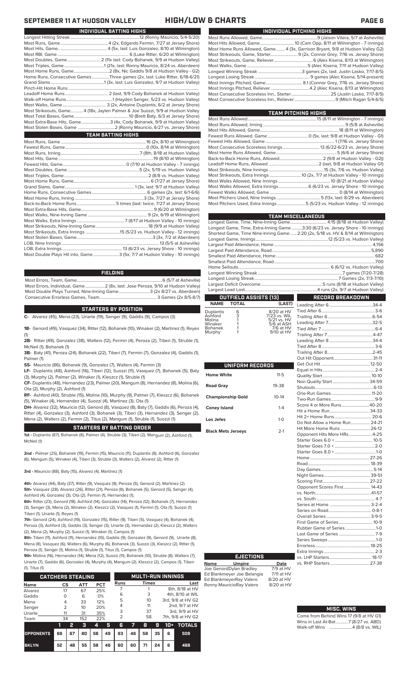| INDIVIDUAL PITCHING HIGHS                                                     |
|-------------------------------------------------------------------------------|
|                                                                               |
|                                                                               |
| Most Home Runs Allowed, Game 4 (3x, Garrison Bryant, 9/8 at Hudson Valley G2) |
| Most Strikeouts, Game, Starter 9 (2x, Connor Grey, 7/16 vs. Jersey Shore)     |
|                                                                               |
|                                                                               |
|                                                                               |
|                                                                               |
|                                                                               |
|                                                                               |
|                                                                               |
|                                                                               |
|                                                                               |

| <b>TEAM PITCHING HIGHS</b>                                                 |  |
|----------------------------------------------------------------------------|--|
|                                                                            |  |
|                                                                            |  |
|                                                                            |  |
|                                                                            |  |
|                                                                            |  |
|                                                                            |  |
|                                                                            |  |
|                                                                            |  |
|                                                                            |  |
|                                                                            |  |
| Most Strikeouts, Extra Innings  10 (2x, 7/7 at Hudson Valley - 10 innings) |  |
|                                                                            |  |
|                                                                            |  |
|                                                                            |  |
|                                                                            |  |
| Most Pitchers Used, Extra Innings5 (5/23 vs. Hudson Valley - 12 innings)   |  |
|                                                                            |  |

|                              | <b>TEAM MISCELLANEOUS</b>                                                          |
|------------------------------|------------------------------------------------------------------------------------|
|                              |                                                                                    |
|                              | Longest Game, Time, Extra-Inning Game3:30 (6/23 vs. Jersey Shore - 10 innings)     |
|                              | Shortest Game, Time Nine-Inning Game.  2:20 (2x, 5/18 vs. HV & 8/14 at Wilmington) |
|                              |                                                                                    |
|                              |                                                                                    |
|                              |                                                                                    |
|                              |                                                                                    |
|                              |                                                                                    |
|                              |                                                                                    |
|                              |                                                                                    |
|                              |                                                                                    |
|                              |                                                                                    |
|                              |                                                                                    |
| <b>OUTFIELD ASSISTS [13]</b> | wa katika T<br>RECORD BREAKDOWN                                                    |

|                   |                   | OUTFIELD ASSISTS [13]               | RECORD BREAKDOWN |  |
|-------------------|-------------------|-------------------------------------|------------------|--|
|                   | <b>NAME TOTAL</b> |                                     |                  |  |
| ıplantis<br>hford | $\frac{6}{3}$     | 8/20 at HV                          |                  |  |
|                   |                   | 7/23 vs. WIL                        |                  |  |
| blina<br>naker    |                   | 5/21 vs. HV<br>$5/6$ at $\Delta$ SH |                  |  |

| -------- |   | ----------------- |
|----------|---|-------------------|
| Ashford  | 3 | 7/23 vs. WIL      |
| Molina   |   | 5/21 vs. HV       |
| Winaker  |   | 5/6 at ASH        |
| Bohanek  |   | 7/6 at HV         |
| Murphy   |   | 9/10 at HV        |
|          |   |                   |

| UNIFORM RECORDS           |           |  |
|---------------------------|-----------|--|
| <b>Home White</b>         | $11 - 5$  |  |
| Road Gray                 | 19-38     |  |
| <b>Championship Gold</b>  | $10 - 14$ |  |
| <b>Coney Island</b>       | $1 - 4$   |  |
| Los Jefes                 | $1 - 0$   |  |
| <b>Black Mets Jerseys</b> | $2-1$     |  |

| Non Quality Start 34-59       |  |
|-------------------------------|--|
|                               |  |
|                               |  |
|                               |  |
| Score 4 or More Runs40-20     |  |
|                               |  |
| Hit 2+ Home Runs  20-6        |  |
| Do Not Allow a Home Run 24-21 |  |
| Hit More Home Runs  26-12     |  |
| Opponent Hits More HRs4-25    |  |
|                               |  |
|                               |  |
|                               |  |
|                               |  |
|                               |  |
|                               |  |
|                               |  |
|                               |  |
| Opponent Scores First 14-43   |  |
|                               |  |
|                               |  |
|                               |  |
|                               |  |
|                               |  |
| First Game of Series 10-9     |  |
| Rubber Game of Series 1-0     |  |
|                               |  |
|                               |  |
|                               |  |
|                               |  |
|                               |  |
|                               |  |
|                               |  |

### **MISC. WINS**

| Come from Behind Wins 17 (9/8 at HV G1) |
|-----------------------------------------|
| Wins in Last At-Bat7 (8/27 vs. ABD)     |
| Walk-off Wins  4 (8/8 vs. WIL)          |

## **SEPTEMBER 11 AT HUDSON VALLEY HIGH/LOW & CHARTS PAGE 6**

| INDIVIDUAL BATTING HIGHS                                                      |
|-------------------------------------------------------------------------------|
|                                                                               |
|                                                                               |
|                                                                               |
|                                                                               |
| Most Doubles, Game 2 (11x last: Cody Bohanek, 9/9 at Hudson Valley)           |
|                                                                               |
|                                                                               |
| Home Runs, Consecutive Games Three games (2x, last: Luke Ritter, 6/18-6/21)   |
|                                                                               |
|                                                                               |
|                                                                               |
|                                                                               |
|                                                                               |
| Most Strikeouts, Game4 (18x, Jaylen Palmer & Joe Suozzi, 9/9 at Hudson Valley |
|                                                                               |
| Most Extra-Base Hits, Game3 (4x, Cody Bohanek, 9/9 at Hudson Valley)          |
| Most Stolen Bases, Game 2 (Ronny Mauricio, 6/27 vs. Jersey Shore)             |
| <b>TEAM BATTING HIGHS</b>                                                     |
|                                                                               |
|                                                                               |
|                                                                               |
|                                                                               |
|                                                                               |
|                                                                               |
|                                                                               |
|                                                                               |
|                                                                               |
|                                                                               |
|                                                                               |
|                                                                               |
|                                                                               |
|                                                                               |
|                                                                               |
|                                                                               |
|                                                                               |
|                                                                               |

### **FIELDING**

Most Double Plays Hit into, Game........................3 (5x, 7/7 at Hudson Valley - 10 innings)

Most Errors, Team, Game...............................................................................6 (5/7 at Asheville) Most Errors, Individual, Game..................2 (8x, last: Jose Peroza, 9/10 at Hudson Valley) Most Double Plays Turned, Nine-Inning Game.............................3 (2x 8/27 vs. Aberdeen) Consecutive Errorless Games, Team.

LOB, Nine Innings .......................................................................................... 13 (5/5 at Asheville) LOB, Extra Innings........................................................13 (6/23 vs. Jersey Shore - 10 innings)

### **STARTERS BY POSITION**

**C-** Alvarez (45), Mena (23), Uriarte (19), Senger (9), Gaddis (9), Campos (3)

**1B-** Genord (49), Vasquez (34), Ritter (12), Bohanek (10), Winaker (2), Martinez (1), Reyes (1)

**2B-** Ritter (49), Gonzalez (38), Walters (12), Fermin (4), Peroza (2), Tiberi (1), Struble (1), McNeil (1), Bohanek (1)

**3B-** Baty (41), Peroza (24), Bohanek (22), Tiberi (7), Fermin (7), Gonzalez (4), Gaddis (1), Palmer (1)

**SS-** Mauricio (86), Bohanek (9), Gonzalez (7), Walters (4), Fermin (3)

**LF-** Duplantis (48), Ashford (16), Tiberi (12), Suozzi (11), Vasquez (7), Bohanek (5), Baty (3), Murphy (2), Palmer (2), Winaker (1), Kleszcz (1), Struble (1)

**CF-** Duplantis (48), Hernandez (23), Palmer (20), Mangum (8), Hernandez (8), Molina (6), Ota (2), Murphy (2), Ashford (1)

**RF-** Ashford (40), Struble (15), Molina (10), Murphy (9), Palmer (7), Kleszcz (6), Bohanek (5), Winaker (4), Hernandez (4), Suozzi (4), Martinez (3), Ota (1)

**DH-** Alvarez (32), Mauricio (12), Genord (8), Vasquez (8), Baty (7), Gaddis (6), Peroza (4), Ritter (4), Gonzalez (3), Ashford (3), Bohanek (3), Tiberi (3), Hernandez (3), Senger (2), Mena (2), Walters (2), Fermin (2), Titus (2), Mangum (1), Struble (1), Suozzi (1)

### **STARTERS BY BATTING ORDER**

**1st -** Duplantis (87), Bohanek (8), Palmer (4), Struble (3), Tiberi (2), Mangum (2), Ashford (1), McNeil (1)

**2nd -** Palmer (25), Bohanek (19), Fermin (15), Mauricio (11), Duplantis (8), Ashford (6), Gonzalez (6), Mangum (5), Winaker (4), Tiberi (3), Struble (3), Walters (2), Alvarez (2), Ritter (1)

**3rd -** Mauricio (88), Baty (15), Alvarez (4), Martinez (1)

**4th-** Alvarez (44), Baty (37), Ritter (9), Vasquez (9), Peroza (5), Genord (2), Martinez (2) **5th-** Vasquez (28), Alvarez (26), Ritter (21), Peroza (8), Bohanek (5), Genord (5), Senger (4), Ashford (4), Gonzalez (3), Ota (2), Fermin (1), Hernandez (1),

**6th-** Ritter (23), Genord (18), Ashford (14), Gonzalez (14), Peroza (12), Bohanek (7), Hernandez (3), Senger (3), Mena (2), Winaker (2), Kleszcz (2), Vasquez (1), Fermin (1), Ota (1), Suozzi (1) Tiberi (1), Uriarte (1), Reyes (1)

**7th-** Genord (24), Ashford (19), Gonzalez (15), Ritter (9), Tiberi (5), Vasquez (4), Bohanek (4), Peroza (3), Ashford (3), Gaddis (3), Senger (3), Uriarte (3), Hernandez (2), Kleszcz (2), Walters (2), Mena (2), Murphy (2), Suozzi (1), Winaker (1), Campos (1)

**8th-** Tiberi (11), Ashford (11), Hernandez (10), Gaddis (9), Gonzalez (9), Genord (9), Uriarte (8), Mena (8), Vasquez (6), Walters (6), Murphy (6), Bohanek (3), Suozzi (3), Kleszcz (2), Ritter (1), Peroza (1), Senger (1), Molina (1), Struble (1), Titus (1), Campos (1)

**9th-** Molina (16), Hernandez (14), Mena (12), Suozzi (11), Bohanek (10), Struble (8), Walters (7), Uriarte (7), Gaddis (6), Gonzalez (4), Murphy (4), Mangum (2), Kleszcz (2), Campos (1), Tiberi

| $(1)$ , Titus $(1)$      |               |    |            |            |    |                |    |                          |    |                   |                   |
|--------------------------|---------------|----|------------|------------|----|----------------|----|--------------------------|----|-------------------|-------------------|
| <b>CATCHERS STEALING</b> |               |    |            |            |    |                |    | <b>MULTI-RUN INNINGS</b> |    |                   |                   |
| <b>Name</b>              | CS            |    | <b>ATT</b> | <b>PCT</b> |    | Runs           |    | <b>Times</b>             |    |                   | Last              |
| Alvarez                  | 17            |    | 67         | 25%        |    |                |    |                          |    |                   | 8th, 8/18 at HV   |
| Gaddis                   | $\Omega$      |    | 6          | 0%         |    | 6              |    | 3                        |    |                   | 4th, 8/10 at WIL  |
| Mena                     | 4             |    | 33         | 12%        |    | 5              |    | 10                       |    | 3rd, 9/8 at HV G2 |                   |
| Senger                   | $\mathcal{P}$ |    | 10         | 20%        |    | 4              |    | 11                       |    | 2nd, 9/7 at HV    |                   |
| Uriarte                  | 11            |    | 31         | 35%        |    | 3              |    | 37                       |    |                   | 3rd, 9/9 at HV    |
| Team                     | 34            |    | 152        | 22%        |    | $\overline{2}$ |    | 58                       |    |                   | 7th, 9/8 at HV G2 |
|                          | 1             | 2  | з          | 4          | 5  | G              | 7  | 8                        | 9  | $10+$             | <b>TOTALS</b>     |
| <b>OPPONENTS</b>         | 68            | 67 | 80         | 58         | 49 | 63             | 46 | 58                       | 35 | 6                 | 509               |
| <b>BKLYN</b>             | 52            | 48 | 55         | 58         | 46 | 60             | 60 | 71                       | 24 | 6                 | 468               |

|             | <b>EJECTIONS</b>        |                   |
|-------------|-------------------------|-------------------|
| <b>Name</b> | <b>Umpire</b>           | Date              |
|             | Joe GenordDylan Bradley | $7/9$ at $\vdash$ |

Ed Blankmeyer Joe Belangia Ed BlankmeyerRay Valero 8/20 at HV<br>Ronny MauricioRay Valero 8/20 at HV Ronny MauricioRay Valero

 $\overline{7/9}$  at HV<br> $\overline{7/11}$  at HV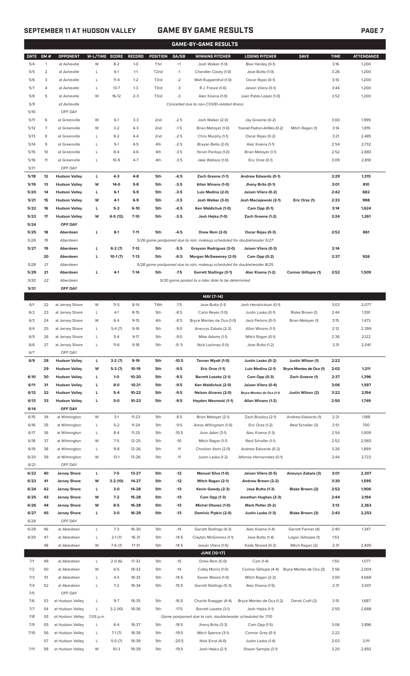## **SEPTEMBER 11 AT HUDSON VALLEY GAME BY GAME RESULTS PAGE 7**

| п<br>$\Delta$<br>н<br>c |
|-------------------------|
|-------------------------|

|              |                |                                            |                |                     |                    |                   |                    | <b>GAME-BY-GAME RESULTS</b>                                             |                                           |                             |              |                   |
|--------------|----------------|--------------------------------------------|----------------|---------------------|--------------------|-------------------|--------------------|-------------------------------------------------------------------------|-------------------------------------------|-----------------------------|--------------|-------------------|
| <b>DATE</b>  | GM#            | <b>OPPONENT</b>                            | W-L/TIME SCORE |                     | <b>RECORD</b>      | <b>POSITION</b>   | GA/GB              | <b>WINNING PITCHER</b>                                                  | <b>LOSING PITCHER</b>                     | <b>SAVE</b>                 | <b>TIME</b>  | <b>ATTENDANCE</b> |
| 5/4          | $\mathbf{1}$   | at Asheville                               | W              | $8 - 2$             | $1 - 0$            | T <sub>1st</sub>  | $+1$               | Josh Walker (1-0)                                                       | Blair Henley (0-1)                        |                             | 3:16         | 1,200             |
| 5/5          | $\overline{2}$ | at Asheville                               | L              | $6-1$               | $1 - 1$            | T <sub>2</sub> nd | $-1$               | Chandler Casey (1-0)                                                    | Jose Butto (1-0)                          |                             | 3:26         | 1,200             |
| 5/6          | 3              | at Asheville                               | Г              | $11 - 4$            | $1 - 2$            | T3rd              | $-2$               | Matt Ruppenthal (1-0)                                                   | Oscar Rojas (0-1)                         |                             | 3:10         | 1,200             |
| 5/7          | 4              | at Asheville                               | Г              | $13 - 7$            | $1 - 3$            | T3rd              | -3                 | R.J. Freure (1-0)                                                       | Jaison Vilera (0-1)                       |                             | 3:44         | 1,200             |
| 5/8          | 5              | at Asheville                               | W              | $16-12$             | $2 - 3$            | T3rd              | -3                 | Alec Kisena (1-0)                                                       | Juan Pablo Lopez (1-0)                    |                             | 3:52         | 1,200             |
| 5/9          |                | at Asheville                               |                |                     |                    |                   |                    | Cancelled due to non-COVID-related illness                              |                                           |                             |              |                   |
| 5/10         |                | OFF DAY                                    |                |                     |                    |                   |                    |                                                                         |                                           |                             |              |                   |
| 5/11         | 6              | at Greenville                              | W              | $6-1$               | $3 - 3$            | 2 <sub>nd</sub>   | $-2.5$             | Josh Walker (2-0)                                                       | Jay Groome (0-2)                          |                             | 3:00         | 1,995             |
| 5/12         | 7              | at Greenville                              | W              | $3 - 2$             | $4 - 3$            | 2 <sub>nd</sub>   | $-1.5$             | Brian Metoyer (1-0)                                                     | Yusniel Padron-Artilles (0-2)             | Mitch Ragan (1)             | 3:14         | 1,819             |
| 5/13         | 8              | at Greenville                              | L              | $8 - 2$             | $4 - 4$            | 2 <sub>nd</sub>   | $-2.5$             | Chris Murphy (1-1)                                                      | Oscar Rojas (0-2)                         |                             | 3:21         | 2,485             |
| 5/14         | 9              | at Greenville                              | L              | $5-1$               | $4 - 5$            | 4th               | $-2.5$             | Brayan Bello (2-0)                                                      | Alec Kisena (1-1)                         |                             | 2:54         | 2,732             |
| 5/15         | 10             | at Greenville                              | Г              | $8 - 4$             | $4-6$              | 4th               | $-3.5$             | Yorvin Pantoja (1-0)                                                    | Brian Metoyer (1-1)                       |                             | 2:52         | 2,883             |
| 5/16<br>5/17 | 11             | at Greenville<br>OFF DAY                   | L              | $10-9$              | $4-7$              | 4th               | $-3.5$             | Jake Wallace (1-0)                                                      | Eric Orze (0-1)                           |                             | 3:09         | 2,818             |
| 5/18         | 12             | <b>Hudson Valley</b>                       | L              | $4-3$               | $4 - 8$            | 5th               | $-4.5$             | Zach Greene (1-1)                                                       | Andrew Edwards (0-1)                      |                             | 2:29         | 1,315             |
| 5/19         | 13             | <b>Hudson Valley</b>                       | W              | $14-0$              | $5-8$              | 5th               | $-3.5$             | Allan Winans (1-0)                                                      | Jhony Brito (0-1)                         |                             | 3:01         | 810               |
| 5/20         | 14             | <b>Hudson Valley</b>                       | L              | $6-1$               | $5-9$              | 5th               | $-3.5$             | Luis Medina (2-0)                                                       | Jaison Vilera (0-2)                       |                             | 2:42         | 682               |
| 5/21         | 15             | <b>Hudson Valley</b>                       | W              | $4-1$               | $6-9$              | 5th               | $-3.5$             | Josh Walker (3-0)                                                       | Josh Maciejewski (2-1)                    | Eric Orze (1)               | 2:33         | 998               |
| 5/22         | 16             | <b>Hudson Valley</b>                       | г              | $5-3$               | $6-10$             | 5th               | $-4.5$             | Ken Waldichuk (1-0)                                                     | Cam Opp (0-1)                             |                             | 3:14         | 1,624             |
| 5/23         | 17             | <b>Hudson Valley</b>                       | W              | $6-5(12)$           | $7 - 10$           | 5th               | $-3.5$             | Josh Hejka (1-0)                                                        | Zach Greene (1-2)                         |                             | 3:24         | 1,261             |
| 5/24         |                | OFF DAY                                    |                |                     |                    |                   |                    |                                                                         |                                           |                             |              |                   |
| 5/25         | 18             | Aberdeen                                   | г              | $8-1$               | $7 - 11$           | 5th               | $-4.5$             | Drew Rom (2-0)                                                          | Oscar Rojas (0-3)                         |                             | 2:52         | 861               |
| 5/26         | 19             | Aberdeen                                   |                |                     |                    |                   |                    | 5/26 game postponed due to rain, makeup scheduled for doubleheader 5/27 |                                           |                             |              |                   |
| 5/27         | 19             | Aberdeen                                   | г              | $6-2(7)$            | $7 - 12$           | 5th               | $-5.5$             | Grayson Rodriguez (3-0)                                                 | Jaison Vilera (0-3)                       |                             | 2:14         |                   |
|              | 20             | Aberdeen                                   | г              | $10-1(7)$           | $7-13$             | 5th               | $-6.5$             | Morgan McSweeney (2-0)                                                  | Cam Opp (0-2)                             |                             | 2:37         | 926               |
| 5/28         | 21             | Aberdeen                                   |                |                     |                    |                   |                    | 5/28 game postponed due to rain, makeup scheduled for doubleheader 8/25 |                                           |                             |              |                   |
| 5/29         | 21             | Aberdeen                                   | г              | $4-1$               | $7 - 14$           | 5th               | $-7.5$             | <b>Garrett Stallings (3-1)</b>                                          | Alec Kisena (1-2)                         | <b>Connor Gillispie (1)</b> | 2:52         | 1,509             |
| 5/30         | 22             | Aberdeen                                   |                |                     |                    |                   |                    | 5/30 game posted to a later date to be determined                       |                                           |                             |              |                   |
| 5/31         |                | OFF DAY                                    |                |                     |                    |                   |                    |                                                                         |                                           |                             |              |                   |
|              |                |                                            |                |                     |                    |                   |                    | MAY [7-14]                                                              |                                           |                             |              |                   |
| 6/1          | 22             | at Jersey Shore                            | W              | $11 - 5$            | $8-14$             | T4th              | $-7.5$             | Jose Butto (1-1)                                                        | Josh Hendrickson (0-1)                    |                             | 3:03         | 2,077             |
| 6/2          | 23             | at Jersey Shore                            | L              | $4-1$               | $8 - 15$           | 5th               | $-8.5$             | Carlo Reyes (1-0)                                                       | Justin Lasko (0-1)                        | Blake Brown (1)             | 2:44         | 1,591             |
| 6/3<br>6/4   | 24<br>25       | at Jersey Shore<br>at Jersey Shore         | W<br>Г         | $6 - 4$             | $9 - 15$<br>$9-16$ | 4th<br>5th        | $-8.5$<br>$-9.0$   | Bryce Montes de Oca (1-0)<br>Aneurys Zabala (2-2)                       | Jack Perkins (0-1)<br>Allan Winans (1-1)  | Brian Metoyer (1)           | 3:15<br>2:12 | 1,473<br>2,399    |
| 6/5          | 26             | at Jersey Shore                            | Г              | $5-4(7)$<br>$5 - 4$ | $9-17$             | 5th               | $-9.0$             | Mike Adams (1-1)                                                        | Mitch Ragan (0-1)                         |                             | 2:36         | 2,122             |
| 6/6          | 27             | at Jersey Shore                            | L              | $11-6$              | $9-18$             | 5th               | $-9.5$             | Nick Lackney (1-0)                                                      | Jose Butto (1-2)                          |                             | 3:31         | 2,041             |
| 6/7          |                | OFF DAY                                    |                |                     |                    |                   |                    |                                                                         |                                           |                             |              |                   |
| 6/9          | 28             | <b>Hudson Valley</b>                       | г              | $3-2(7)$            | 9-19               | 5th               | -10.5              | Tanner Myatt (1-0)                                                      | Justin Lasko (0-2)                        | Justin Wilson (1)           | 2:22         |                   |
|              | 29             | <b>Hudson Valley</b>                       | W              | $5-3(7)$            | 10-19              | 5th               | $-9.5$             | Eric Orze (1-1)                                                         | Luis Medina (2-1)                         | Bryce Montes de Oca (1)     | 2:02         | 1,211             |
| 6/10         | 30             | <b>Hudson Valley</b>                       | L              | $1-0$               | 10-20              | 5th               | $-9.5$             | <b>Barrett Loseke (2-1)</b>                                             | Cam Opp (0-3)                             | Zach Greene (1)             | 2:37         | 1,396             |
| 6/11         | 31             | <b>Hudson Valley</b>                       | г              | 8-0                 | $10 - 21$          | 5th               | $-9.5$             | Ken Waldichuk (2-0)                                                     | Jaison Vilera (0-4)                       |                             | 3:06         | 1,597             |
| 6/12         | 32             | <b>Hudson Valley</b>                       | г              | $5-4$               | 10-22              | 5th               | $-9.5$             | Nelson Alvarez (2-0)                                                    | Bryce Montes de Oca (1-1)                 | Justin Wilson (2)           | 3:22         | 2,194             |
| 6/13         | 33             | <b>Hudson Valley</b>                       | г              | $5-0$               | 10-23              | 5th               | $-9.5$             | Hayden Wesneski (1-1)                                                   | Allan Winans (1-2)                        |                             | 2:50         | 1,749             |
| 6/14         |                | OFF DAY                                    |                |                     |                    |                   |                    |                                                                         |                                           |                             |              |                   |
| 6/15         | 34             | at Wilmington                              | W              | $3-1$               | $11 - 23$          | 5th               | $-8.5$             | Brian Metoyer (2-1)                                                     | Zach Brzykcy (2-1)                        | Andrew Edwards (1)          | 2:21         | 1,188             |
| 6/16         | 35             | at Wilmington                              | L              | $5 - 2$             | $11 - 24$          | 5th               | $-9.5$             | Amos Willingham (1-0)                                                   | Eric Orze (1-2)                           | Reid Schaller (3)           | 2:51         | 700               |
| 6/17         | 36             | at Wilmington                              | L              | $8 - 4$             | $11 - 25$          | 5th               | $-10.5$            | Joan Adon (3-1)                                                         | Alec Kisena (1-3)                         |                             | 2:54         | 1,009             |
| 6/18         | 37             | at Wilmington                              | W              | $7-5$               | $12 - 25$          | 5th               | $-10$              | Mitch Ragan (1-1)                                                       | Reid Schaller (1-1)                       |                             | 2:52         | 2,565             |
| 6/19         | 38             | at Wilmington                              | L              | $9 - 8$             | $12 - 26$          | 5th               | $-11$              | Christian Vann (2-0)                                                    | Andrew Edwards (0-2)                      |                             | 3:26         | 1,899             |
| 6/20         | 39             | at Wilmington                              | W              | $13-1$              | $13 - 26$          | 5th               | $-11$              | Justin Lasko (1-2)                                                      | Alfonso Hernanndez (0-1)                  |                             | 2:44         | 2,722             |
| 6/21<br>6/22 | 40             | OFF DAY                                    | г              | $7-5$               | 13-27              | 5th               | $-12$              |                                                                         |                                           |                             | 3:01         |                   |
| 6/23         | 41             | <b>Jersey Shore</b><br><b>Jersey Shore</b> | W              | $3-2(10)$           | 14-27              | 5th               | $-12$              | <b>Manuel Silva (1-0)</b><br>Mitch Ragan (2-1)                          | Jaison Vilera (0-5)<br>Andrew Brown (2-2) | Aneurys Zabala (3)          | 3:30         | 2,307<br>1,595    |
| 6/24         | 42             | <b>Jersey Shore</b>                        | г              | $3-0$               | 14-28              | 5th               | $-13$              | Kevin Gowdy (2-3)                                                       | Jose Butto (1-3)                          | Blake Brown (2)             | 2:52         | 1,906             |
| 6/25         | 43             | <b>Jersey Shore</b>                        | W              | $7-2$               | 15-28              | 5th               | $-13$              | Cam Opp (1-3)                                                           | Jonathan Hughes (2-3)                     |                             | 2:44         | 2,194             |
| 6/26         | 44             | <b>Jersey Shore</b>                        | W              | $8-5$               | 16-28              | 5th               | $-13$              | Michel Otanez (1-0)                                                     | Mark Potter (0-2)                         |                             | 3:13         | 2,363             |
| 6/27         | 45             | <b>Jersey Shore</b>                        | г              | $3-0$               | 16-29              | 5th               | $-13$              | Dominic Pipkin (2-0)                                                    | Justin Lasko (1-3)                        | Blake Brown (3)             | 2:43         | 2,253             |
| 6/28         |                | OFF DAY                                    |                |                     |                    |                   |                    |                                                                         |                                           |                             |              |                   |
| 6/29         | 46             | at Aberdeen                                | L              | $7-3$               | 16-30              | 5th               | $-14$              | Garrett Stallings (4-3)                                                 | Alec Kisena (1-4)                         | Garrett Farmer (4)          | 2:40         | 1,347             |
| 6/30         | 47             | at Aberdeen                                | L              | $2-1(7)$            | 16-31              | 5th               | $-14.5$            | Clayton McGinness (1-1)                                                 | Jose Butto (1-4)                          | Logan Gillaspie (1)         | 1:53         |                   |
|              | 48             | at Aberdeen                                | W              | $7-6(7)$            | 17-31              | 5th               | $-14.5$            | Jaison Vilera (1-5)                                                     | Kade Strowd (0-2)                         | Mitch Ragan (2)             | 2:31         | 2,405             |
|              |                |                                            |                |                     |                    |                   |                    | <b>JUNE [10-17]</b>                                                     |                                           |                             |              |                   |
| 7/1          | 49             | at Aberdeen                                | L              | $2-0(6)$            | 17-32              | 5th               | $-15$              | Drew Rom (5-0)                                                          | Cam (1-4)                                 |                             | 1:50         | 1,077             |
| 7/2          | 50             | at Aberdeen                                | W              | $6 - 5$             | 18-32              | 5th               | $-14$              | Colby Morris (1-0)                                                      | Connor Gillispie (4-4)                    | Bryce Montes de Oca (2)     | 3:56         | 2,004             |
| 7/3          | 51             | at Aberdeen                                | L              | $4 - 3$             | 18-33              | 5th               | $-14.5$            | Xavier Moore (1-0)                                                      | Mitch Ragan (2-2)                         |                             | 3:00         | 4,668             |
| 7/4          | 52             | at Aberdeen                                | L              | $7 - 2$             | 18-34              | 5th               | $-15.5$            | Garrett Stallings (5-3)                                                 | Alec Kisena (1-5)                         |                             | 2:31         | 3,001             |
| 7/5          |                | OFF DAY                                    |                |                     |                    |                   |                    |                                                                         |                                           |                             |              |                   |
| 7/6          | 53             | at Hudson Valley                           | L              | $9 - 7$             | 18-35              | 5th               | $-16.5$            | Charlie Ruegger (4-4)                                                   | Bryce Montes de Oca (1-2)                 | Derek Craft (2)             | 3:15         | 1,687             |
| 7/7          | 54             | at Hudson Valley                           | L              | $3-2(10)$           | 18-36              | 5th               | $-17.5$            | Barrett Loseke (3-1)                                                    | Josh Hejka (1-1)                          |                             | 2:55         | 2,688             |
| 7/8          | 55             | at Hudson Valley                           | 7:05 p.m.      |                     |                    |                   |                    | Game postponed due to rain, doubleheader scheduled for 7/10             |                                           |                             |              |                   |
| 7/9<br>7/10  | 55             | at Hudson Valley<br>at Hudson Valley       | L              | $6 - 4$             | 18-37<br>18-38     | 5th               | $-18.5$<br>$-19.5$ | Jhony Brito (3-3)<br>Mitch Spence (3-1)                                 | Cam Opp (1-5)                             |                             | 3:06<br>2:22 | 3,896             |
|              | 56<br>57       |                                            | L              | $7-1(7)$            | 18-39              | 5th<br>5th        | -20.5              |                                                                         | Connor Grey (0-1)<br>Justin Lasko (1-4)   |                             | 2:03         |                   |
| 7/11         |                | at Hudson Valley<br>58 at Hudson Valley    | W              | $5-0(7)$<br>$10-3$  | 19-39              | 5th               | $-19.5$            | Nick Ernst (4-0)<br>Josh Hejka (2-1)                                    | Shawn Semple (3-1)                        |                             | 3:20         | 3,111<br>2,892    |
|              |                |                                            |                |                     |                    |                   |                    |                                                                         |                                           |                             |              |                   |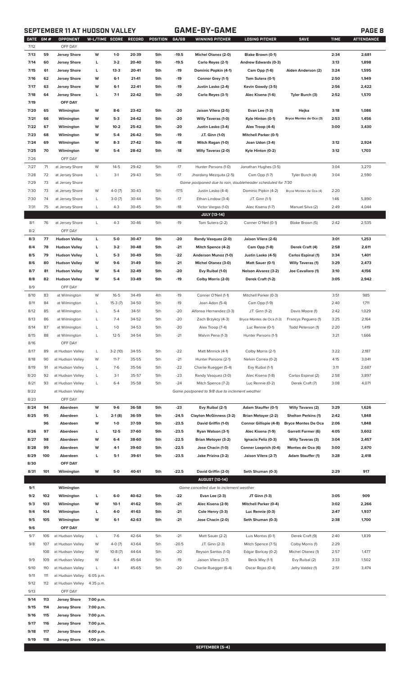# **SEPTEMBER 11 AT HUDSON VALLEY GAME-BY-GAME PAGE 8**

| <b>DATE</b><br>7/12 | GM # | OPPONENT<br>OFF DAY  | W-L/TIME SCORE |           | RECORD | POSITION | GA/GB   | WINNING PITCHER                                             | <b>LOSING PITCHER</b>         | <b>SAVE</b>                | <b>TIME</b> | <b>ATTENDANCE</b> |
|---------------------|------|----------------------|----------------|-----------|--------|----------|---------|-------------------------------------------------------------|-------------------------------|----------------------------|-------------|-------------------|
|                     |      |                      |                |           |        |          |         |                                                             |                               |                            |             |                   |
| 7/13                | 59   | <b>Jersey Shore</b>  | W              | $1 - 0$   | 20-39  | 5th      | $-19.5$ | Michel Otanez (2-0)                                         | Blake Brown (0-1)             |                            | 2:34        | 2,681             |
| 7/14                | 60   | <b>Jersey Shore</b>  | L              | $3-2$     | 20-40  | 5th      | $-19.5$ | Carlo Reyes (2-1)                                           | Andrew Edwards (0-3)          |                            | 3:13        | 1,898             |
| 7/15                | 61   | <b>Jersey Shore</b>  | L              | $13-3$    | 20-41  | 5th      | $-19$   | Dominic Popkin (4-1)                                        | Cam Opp (1-6)                 | Aiden Anderson (2)         | 3:24        | 1,595             |
| 7/16                | 62   | <b>Jersey Shore</b>  | W              | $6-1$     | 21-41  | 5th      | -19     | Connor Grey (1-1)                                           | Tom Sutera (0-1)              |                            | 2:50        | 1,949             |
| 7/17                | 63   | <b>Jersey Shore</b>  | W              | $6 - 1$   | 22-41  | 5th      | $-19$   | Justin Lasko (2-4)                                          | Kevin Gowdy (3-5)             |                            | 2:56        | 2,422             |
| 7/18                | 64   | <b>Jersey Shore</b>  | L              | $7-1$     | 22-42  | 5th      | $-20$   | Carlo Reyes (3-1)                                           | Alec Kisena (1-6)             | Tyler Burch (3)            | 2:52        | 1,570             |
| 7/19                |      | OFF DAY              |                |           |        |          |         |                                                             |                               |                            |             |                   |
| 7/20                | 65   | Wilmington           | W              | 8-6       | 23-42  | 5th      | $-20$   | Jaison Vilera (2-5)                                         | Evan Lee (1-3)                | Hejka                      | 3:18        | 1,086             |
| 7/21                | 66   | Wilmington           | W              | $5-3$     | 24-42  | 5th      | $-20$   | <b>Willy Taveras (1-0)</b>                                  | Kyle Hinton (0-1)             | Bryce Montes de Oca (3)    | 2:53        | 1,456             |
|                     |      |                      |                |           |        |          |         |                                                             |                               |                            |             |                   |
| 7/22                | 67   | Wilmington           | W              | $10-2$    | 25-42  | 5th      | $-20$   | Justin Lasko (3-4)                                          | Alex Troop (4-4)              |                            | 3:00        | 3,430             |
| 7/23                | 68   | Wilmington           | W              | $5-4$     | 26-42  | 5th      | $-19$   | J.T. Ginn (1-0)                                             | <b>Mitchell Parker (0-1)</b>  |                            |             |                   |
| 7/24                | 69   | Wilmington           | W              | $8-3$     | 27-42  | 5th      | $-18$   | Mitch Ragan (1-0)                                           | Joan Udon (3-4)               |                            | 3:12        | 2,924             |
| 7/25                | 70   | Wilmington           | W              | $5-4$     | 28-42  | 5th      | $-18$   | <b>Willy Taveras (2-0)</b>                                  | Kyle Hinton (0-2)             |                            | 3:12        | 1,703             |
| 7/26                |      | OFF DAY              |                |           |        |          |         |                                                             |                               |                            |             |                   |
| 7/27                | 71   | at Jersey Shore      | W              | $14 - 5$  | 29-42  | 5th      | $-17$   | Hunter Parsons (1-0)                                        | Jonathan Hughes (3-5)         |                            | 3:04        | 3,270             |
| 7/28                | 72   | at Jersey Shore      | L              | $3-1$     | 29-43  | 5th      | $-17$   | Jhordany Mezquita (2-5)                                     | Cam Opp (1-7)                 | Tyler Burch (4)            | 3:04        | 2,590             |
| 7/29                | 73   | at Jersey Shore      |                |           |        |          |         | Game postponed due to rain, doubleheader scheduled for 7/30 |                               |                            |             |                   |
| 7/30                | 73   | at Jersey Shore      | W              | $4-0(7)$  | 30-43  | 5th      | $-17.5$ | Justin Lasko (4-4)                                          | Dominic Pipkin (4-2)          | Bryce Montes de Oca (4)    | 2:20        |                   |
| 7/30                | 74   | at Jersey Shore      | L              | $3-0(7)$  | 30-44  | 5th      | $-17$   | Ethan Lindow (3-4)                                          | J.T. Ginn (1-1)               |                            | 1:46        | 5,890             |
| 7/31                | 75   | at Jersey Shore      | L              | $4 - 3$   | 30-45  | 5th      | $-18$   | Victor Vargas (1-0)                                         | Alec Kisena (1-7)             | Manuel Silva (2)           | 2:49        | 4,044             |
|                     |      |                      |                |           |        |          |         |                                                             |                               |                            |             |                   |
|                     |      |                      |                |           |        |          |         | <b>JULY [13-14]</b>                                         |                               |                            |             |                   |
| 8/1                 | 76   | at Jersey Shore      | L              | $4 - 3$   | 30-46  | 5th      | $-19$   | Tom Sutera (2-2)                                            | Conner O'Neil (0-1)           | Blake Brown (5)            | 2:42        | 2,535             |
| 8/2                 |      | OFF DAY              |                |           |        |          |         |                                                             |                               |                            |             |                   |
| 8/3                 | 77   | <b>Hudson Valley</b> | L              | 5-0       | 30-47  | 5th      | -20     | Randy Vasquez (2-0)                                         | Jaison Vilera (2-6)           |                            | 3:01        | 1,253             |
| 8/4                 | 78   | <b>Hudson Valley</b> | L              | $3-2$     | 30-48  | 5th      | $-21$   | Mitch Spence (4-2)                                          | Cam Opp (1-8)                 | Derek Craft (4)            | 2:58        | 2,611             |
| 8/5                 | 79   | <b>Hudson Valley</b> | L              | $5-3$     | 30-49  | 5th      | $-22$   | Anderson Munoz (1-0)                                        | Justin Lasko (4-5)            | <b>Carlos Espinal (1)</b>  | 3:34        | 1,401             |
| 8/6                 | 80   | <b>Hudson Valley</b> | W              | $9-6$     | 31-49  | 5th      | $-21$   | Michel Otanez (3-0)                                         | Matt Sauer (0-1)              | <b>Willy Taveras (1)</b>   | 3:29        | 2,473             |
| 8/7                 | 81   | <b>Hudson Valley</b> | W              | $5 - 4$   | 32-49  | 5th      | $-20$   | Evy Ruibal (1-0)                                            | <b>Nelson Alvarez (3-2)</b>   | Joe Cavallaro (1)          | 3:10        | 4,156             |
| 8/8                 | 82   | <b>Hudson Valley</b> | W              | $5 - 4$   | 33-49  | 5th      | $-19$   | Colby Morris (2-0)                                          | Derek Craft (1-2)             |                            | 3:05        | 2,942             |
| 8/9                 |      | OFF DAY              |                |           |        |          |         |                                                             |                               |                            |             |                   |
| 8/10                | 83   | at Wilmington        | W              | $16 - 5$  | 34-49  | 4th      | $-19$   | Conner O'Neil (1-1)                                         | Mitchell Parker (0-3)         |                            | 3:51        | 985               |
|                     |      |                      |                |           |        |          |         |                                                             |                               |                            |             |                   |
| 8/11                | 84   | at Wilmington        | L              | $15-3(7)$ | 34-50  | 5th      | $-19$   | Joan Adon (5-4)                                             | Cam Opp (1-9)                 |                            | 2:40        | 1,711             |
| 8/12                | 85   | at Wilmington        | L              | $5 - 4$   | 34-51  | 5th      | $-20$   | Alfonso Hernandez (3-3)                                     | J.T. Ginn (1-2)               | Davis Moore (1)            | 2:42        | 1,029             |
| 8/13                | 86   | at Wilmington        | L              | $7 - 4$   | 34-52  | 5th      | $-20$   | Zach Brzykcy (4-3)                                          | Bryce Montes de Oca (1-3)     | Francys Peguero (1)        | 3:25        | 2,164             |
| 8/14                | 87   | at Wilmington        | L              | $1-0$     | 34-53  | 5th      | $-20$   | Alex Troop (7-4)                                            | Luc Rennie (0-1)              | Todd Peterson (1)          | 2:20        | 1,419             |
| 8/15                | 88   | at Wilmington        | L              | $12 - 5$  | 34-54  | 5th      | $-21$   | Malvin Pena (1-3)                                           | Hunter Parsons (1-1)          |                            | 3:21        | 1,666             |
| 8/16                |      | OFF DAY              |                |           |        |          |         |                                                             |                               |                            |             |                   |
| 8/17                | 89   | at Hudson Valley     | L              | $3-2(10)$ | 34-55  | 5th      | $-22$   | Matt Minnick (4-1)                                          | Colby Morris (2-1)            |                            | 3:22        | 2,187             |
| 8/18                | 90   | at Hudson Valley     | W              | $11 - 7$  | 35-55  | 5th      | $-21$   | Hunter Parsons (2-1)                                        | Nelvin Correa (0-2)           |                            | 4:15        | 3,041             |
| 8/19                | 91   | at Hudson Valley     | L              | $7-6$     | 35-56  | 5th      | $-22$   | Charlie Ruegger (5-4)                                       | Evy Ruibal (1-1)              |                            | 3:11        | 2,687             |
| 8/20                | 92   | at Hudson Valley     | L              | $3-1$     | 35-57  | 5th      | $-23$   | Randy Vasquez (3-0)                                         | Alec Kisena (1-8)             | Carlos Espinal (2)         | 2:58        | 3,897             |
|                     |      |                      |                |           |        |          |         |                                                             | Luc Rennie (0-2)              |                            |             |                   |
| 8/21                | 93   | at Hudson Valley     | L              | $6 - 4$   | 35-58  | 5th      | $-24$   | Mitch Spence (7-2)                                          |                               | Derek Craft (7)            | 3:08        | 4,071             |
| 8/22                |      | at Hudson Valley     |                |           |        |          |         | Game postponed to 9/8 due to inclement weather              |                               |                            |             |                   |
| 8/23                |      | OFF DAY              |                |           |        |          |         |                                                             |                               |                            |             |                   |
| 8/24                | 94   | Aberdeen             | W              | $9-6$     | 36-58  | 5th      | $-23$   | Evy Ruibal (2-1)                                            | Adam Stauffer (0-1)           | <b>Willy Tavares (2)</b>   | 3:29        | 1,626             |
| 8/25                | 95   | Aberdeen             | L              | $2-1(8)$  | 36-59  | 5th      | $-24.5$ | <b>Clayton McGinness (3-2)</b>                              | <b>Brian Metoyer (2-2)</b>    | <b>Shelton Perkins (1)</b> | 2:42        | 1,848             |
|                     | 96   | Aberdeen             | W              | $1-0$     | 37-59  | 5th      | $-23.5$ | David Griffin (1-0)                                         | <b>Connor Gillispie (4-8)</b> | <b>Bryce Montes De Oca</b> | 2:06        | 1,848             |
| 8/26                | 97   | Aberdeen             | г              | $12 - 5$  | 37-60  | 5th      | $-23.5$ | Ryan Watson (3-1)                                           | Alec Kisena (1-9)             | Garrett Farmer (6)         | 4:05        | 3,602             |
| 8/27                | 98   | Aberdeen             | W              | $6-4$     | 38-60  | 5th      | $-22.5$ | <b>Brian Metoyer (3-2)</b>                                  | Ignacio Feliz (0-3)           | <b>Willy Taveras (3)</b>   | 3:04        | 2,457             |
| 8/28                | 99   | Aberdeen             | W              | $4-1$     | 39-60  | 5th      | $-22.5$ | Jose Chacin (1-0)                                           | Conner Loeprich (0-4)         | Montes de Oca (6)          | 3:00        | 2,670             |
| 8/29                | 100  | Aberdeen             | L              | $5-1$     | 39-61  | 5th      | $-23.5$ | Jake Prizina (3-2)                                          | Jaison Vilera (2-7)           | <b>Adam Stauffer (1)</b>   | 3:28        | 2,418             |
| 8/30                |      | OFF DAY              |                |           |        |          |         |                                                             |                               |                            |             |                   |
|                     |      |                      |                |           |        |          |         |                                                             |                               |                            |             |                   |
| 8/31                | 101  | Wilmington           | W              | 5-0       | 40-61  | 5th      | $-22.5$ | David Griffin (2-0)                                         | Seth Shuman (0-3)             |                            | 2:29        | 917               |
|                     |      |                      |                |           |        |          |         | <b>AUGUST [10-14]</b>                                       |                               |                            |             |                   |
| 9/1                 |      | Wilmington           |                |           |        |          |         | Game cancelled due to inclement weather                     |                               |                            |             |                   |
| 9/2                 | 102  | Wilmington           | L              | $6-0$     | 40-62  | 5th      | $-22$   | <b>Evan Lee (2-3)</b>                                       | JT Ginn (1-3)                 |                            | 3:05        | 909               |
| 9/3                 | 103  | Wilmington           | W              | $10-1$    | 41-62  | 5th      | $-21$   | Alec Kisena (2-9)                                           | <b>Mitchell Parker (0-4)</b>  |                            | 3:02        | 2,266             |
| 9/4                 | 104  | Wilmington           | L              | 4-0       | 41-63  | 5th      | $-21$   | Cole Henry (3-3)                                            | Luc Rennie (0-3)              |                            | 2:47        | 1,937             |
| 9/5                 | 105  | Wilmington           | W              | $6-1$     | 42-63  | 5th      | $-21$   | Jose Chacin (2-0)                                           | Seth Shuman (0-3)             |                            | 2:38        | 1,700             |
| 9/6                 |      | OFF DAY              |                |           |        |          |         |                                                             |                               |                            |             |                   |
| 9/7                 | 106  | at Hudson Valley     | L              | $7-6$     | 42-64  | 5th      | $-21$   | Matt Sauer (2-2)                                            | Luis Montas (0-1)             | Derek Craft (9)            | 2:40        | 1,839             |
| 9/8                 | 107  | at Hudson Valley     | W              | $4-0(7)$  | 43-64  | 5th      | $-20.5$ | J.T. Ginn (2-3)                                             | Mitch Spence (7-5)            | Colby Morris (1)           | 2:29        |                   |
|                     |      |                      | W              |           | 44-64  |          |         |                                                             |                               | Michel Otanez (1)          |             |                   |
|                     | 108  | at Hudson Valley     |                | $10-8(7)$ |        | 5th      | $-20$   | Reyson Santos (1-0)                                         | Edgar Barlcay (0-2)           |                            | 2:57        | 1,477             |
| 9/9                 | 109  | at Hudson Valley     | W              | $6 - 4$   | 45-64  | 5th      | $-19$   | Jaison Vilera (3-7)                                         | Beck Way (1-1)                | Evy Ruibal (2)             | 3:33        | 1,502             |
| 9/10                | 110  | at Hudson Valley     | L              | $4-1$     | 45-65  | 5th      | $-20$   | Charlie Ruegger (6-4)                                       | Oscar Rojas (0-4)             | Jefry Valdez (1)           | 2:51        | 3,474             |
| 9/11                | 111  | at Hudson Valley     | 6:05 p.m.      |           |        |          |         |                                                             |                               |                            |             |                   |
| 9/12                | 112  | at Hudson Valley     | 4:35 p.m.      |           |        |          |         |                                                             |                               |                            |             |                   |
| 9/13                |      | OFF DAY              |                |           |        |          |         |                                                             |                               |                            |             |                   |
| 9/14                | 113  | <b>Jersey Shore</b>  | 7:00 p.m.      |           |        |          |         |                                                             |                               |                            |             |                   |
| 9/15                | 114  | <b>Jersey Shore</b>  | 7:00 p.m.      |           |        |          |         |                                                             |                               |                            |             |                   |
| 9/16                | 115  | <b>Jersey Shore</b>  | 7:00 p.m.      |           |        |          |         |                                                             |                               |                            |             |                   |
| 9/17                | 116  | <b>Jersey Shore</b>  |                |           |        |          |         |                                                             |                               |                            |             |                   |
|                     |      |                      | 7:00 p.m.      |           |        |          |         |                                                             |                               |                            |             |                   |
| 9/18                | 117  | <b>Jersey Shore</b>  | 4:00 p.m.      |           |        |          |         |                                                             |                               |                            |             |                   |
| 9/19                | 118  | <b>Jersey Shore</b>  | 1:00 p.m.      |           |        |          |         |                                                             |                               |                            |             |                   |
|                     |      |                      |                |           |        |          |         | <b>SEPTEMBER [5-4]</b>                                      |                               |                            |             |                   |